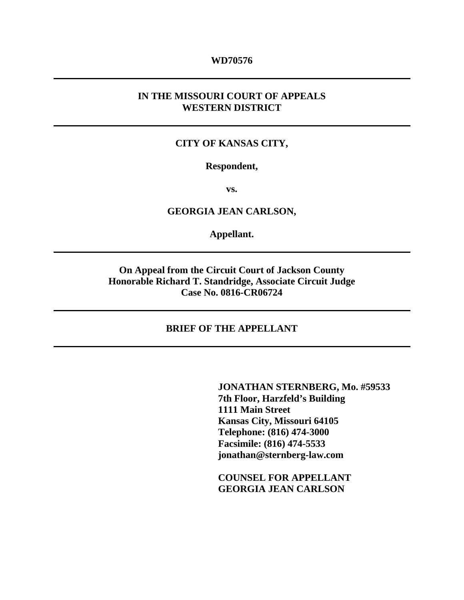#### **WD70576**

### **IN THE MISSOURI COURT OF APPEALS WESTERN DISTRICT**

### **CITY OF KANSAS CITY,**

#### **Respondent,**

**vs.** 

**GEORGIA JEAN CARLSON,** 

**Appellant.** 

**On Appeal from the Circuit Court of Jackson County Honorable Richard T. Standridge, Associate Circuit Judge Case No. 0816-CR06724** 

### **BRIEF OF THE APPELLANT**

 **JONATHAN STERNBERG, Mo. #59533 7th Floor, Harzfeld's Building 1111 Main Street Kansas City, Missouri 64105 Telephone: (816) 474-3000 Facsimile: (816) 474-5533 jonathan@sternberg-law.com** 

 **COUNSEL FOR APPELLANT GEORGIA JEAN CARLSON**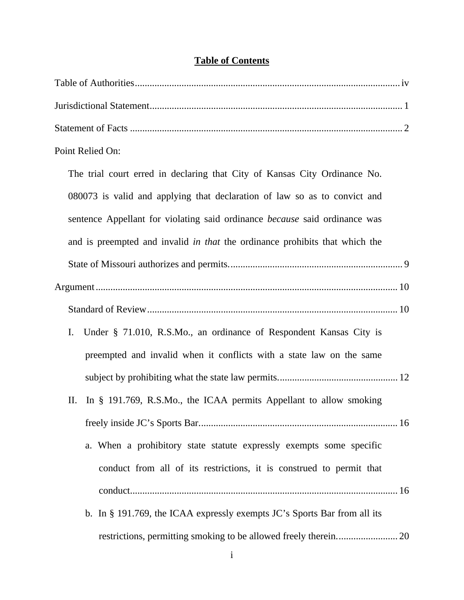## **Table of Contents**

| Point Relied On:                                                            |
|-----------------------------------------------------------------------------|
| The trial court erred in declaring that City of Kansas City Ordinance No.   |
| 080073 is valid and applying that declaration of law so as to convict and   |
| sentence Appellant for violating said ordinance because said ordinance was  |
| and is preempted and invalid in that the ordinance prohibits that which the |
|                                                                             |
|                                                                             |
|                                                                             |
| Under § 71.010, R.S.Mo., an ordinance of Respondent Kansas City is<br>I.    |
| preempted and invalid when it conflicts with a state law on the same        |
|                                                                             |
| In § 191.769, R.S.Mo., the ICAA permits Appellant to allow smoking<br>П.    |
|                                                                             |
| a. When a prohibitory state statute expressly exempts some specific         |
| conduct from all of its restrictions, it is construed to permit that        |
|                                                                             |
| b. In § 191.769, the ICAA expressly exempts JC's Sports Bar from all its    |
|                                                                             |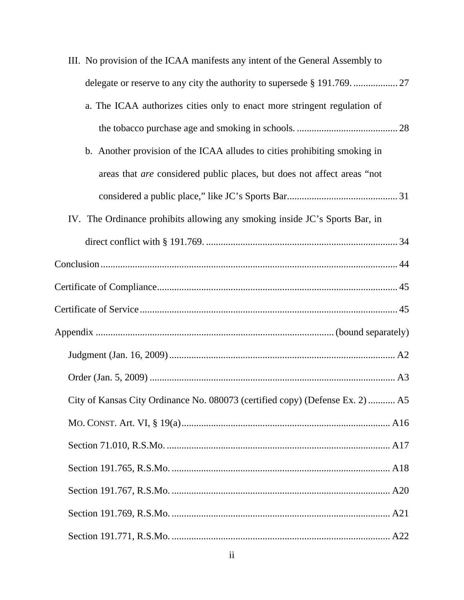| III. No provision of the ICAA manifests any intent of the General Assembly to |  |
|-------------------------------------------------------------------------------|--|
|                                                                               |  |
| a. The ICAA authorizes cities only to enact more stringent regulation of      |  |
|                                                                               |  |
| b. Another provision of the ICAA alludes to cities prohibiting smoking in     |  |
| areas that are considered public places, but does not affect areas "not       |  |
|                                                                               |  |
| IV. The Ordinance prohibits allowing any smoking inside JC's Sports Bar, in   |  |
|                                                                               |  |
|                                                                               |  |
|                                                                               |  |
|                                                                               |  |
|                                                                               |  |
|                                                                               |  |
|                                                                               |  |
| City of Kansas City Ordinance No. 080073 (certified copy) (Defense Ex. 2)  A5 |  |
|                                                                               |  |
|                                                                               |  |
|                                                                               |  |
|                                                                               |  |
|                                                                               |  |
|                                                                               |  |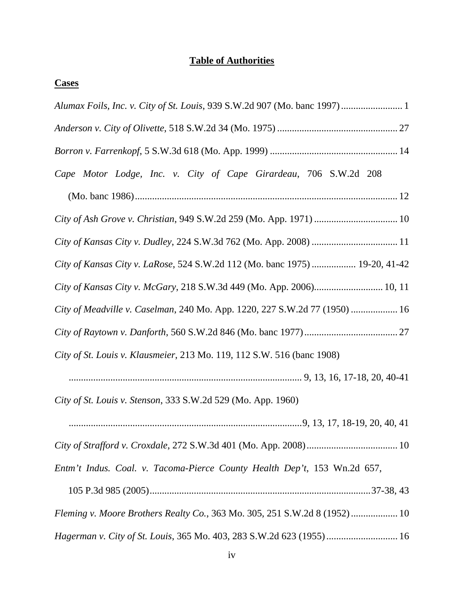## **Table of Authorities**

| v.<br>٠ |
|---------|
|---------|

| Cape Motor Lodge, Inc. v. City of Cape Girardeau, 706 S.W.2d 208            |
|-----------------------------------------------------------------------------|
|                                                                             |
|                                                                             |
|                                                                             |
| City of Kansas City v. LaRose, 524 S.W.2d 112 (Mo. banc 1975)  19-20, 41-42 |
| City of Kansas City v. McGary, 218 S.W.3d 449 (Mo. App. 2006) 10, 11        |
| City of Meadville v. Caselman, 240 Mo. App. 1220, 227 S.W.2d 77 (1950)  16  |
|                                                                             |
| City of St. Louis v. Klausmeier, 213 Mo. 119, 112 S.W. 516 (banc 1908)      |
|                                                                             |
| City of St. Louis v. Stenson, 333 S.W.2d 529 (Mo. App. 1960)                |
|                                                                             |
|                                                                             |
| Entm't Indus. Coal. v. Tacoma-Pierce County Health Dep't, 153 Wn.2d 657,    |
|                                                                             |
| Fleming v. Moore Brothers Realty Co., 363 Mo. 305, 251 S.W.2d 8 (1952) 10   |
| Hagerman v. City of St. Louis, 365 Mo. 403, 283 S.W.2d 623 (1955) 16        |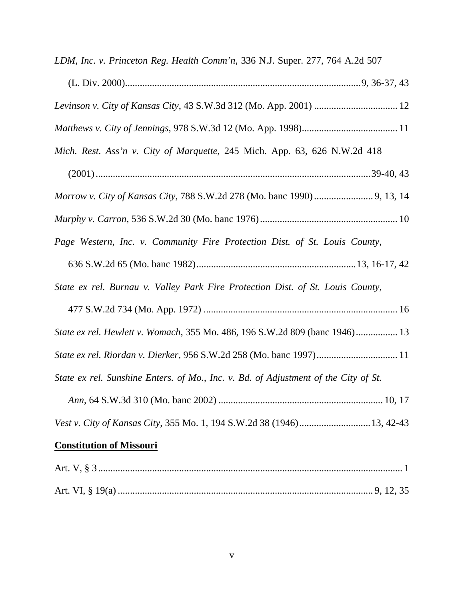| LDM, Inc. v. Princeton Reg. Health Comm'n, 336 N.J. Super. 277, 764 A.2d 507        |
|-------------------------------------------------------------------------------------|
|                                                                                     |
|                                                                                     |
|                                                                                     |
| Mich. Rest. Ass'n v. City of Marquette, 245 Mich. App. 63, 626 N.W.2d 418           |
|                                                                                     |
|                                                                                     |
|                                                                                     |
| Page Western, Inc. v. Community Fire Protection Dist. of St. Louis County,          |
|                                                                                     |
| State ex rel. Burnau v. Valley Park Fire Protection Dist. of St. Louis County,      |
|                                                                                     |
| State ex rel. Hewlett v. Womach, 355 Mo. 486, 196 S.W.2d 809 (banc 1946) 13         |
|                                                                                     |
| State ex rel. Sunshine Enters. of Mo., Inc. v. Bd. of Adjustment of the City of St. |
|                                                                                     |
| Vest v. City of Kansas City, 355 Mo. 1, 194 S.W.2d 38 (1946) 13, 42-43              |
| <b>Constitution of Missouri</b>                                                     |
|                                                                                     |
|                                                                                     |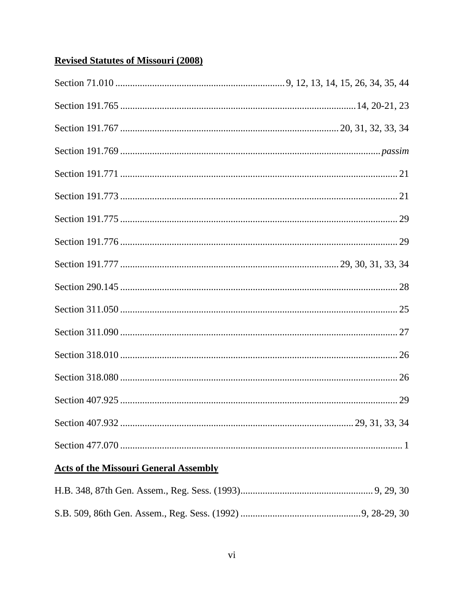## **Revised Statutes of Missouri (2008)**

## **Acts of the Missouri General Assembly**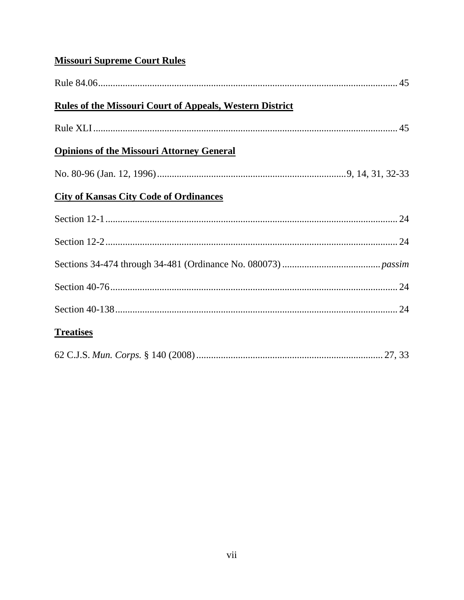## **Missouri Supreme Court Rules**

| <b>Rules of the Missouri Court of Appeals, Western District</b> |  |
|-----------------------------------------------------------------|--|
|                                                                 |  |
| <b>Opinions of the Missouri Attorney General</b>                |  |
|                                                                 |  |
| <b>City of Kansas City Code of Ordinances</b>                   |  |
|                                                                 |  |
|                                                                 |  |
|                                                                 |  |
|                                                                 |  |
|                                                                 |  |
| <b>Treatises</b>                                                |  |
|                                                                 |  |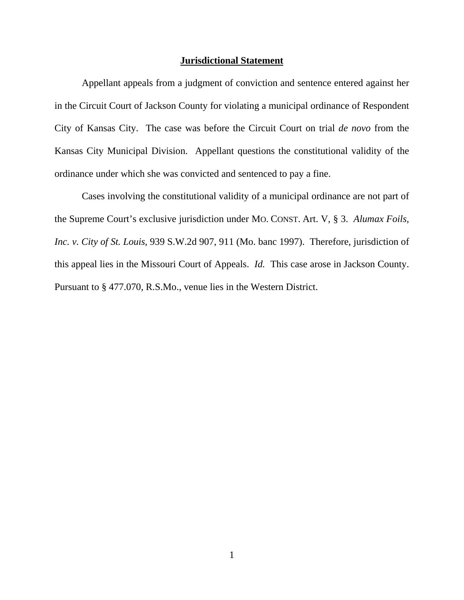#### **Jurisdictional Statement**

 Appellant appeals from a judgment of conviction and sentence entered against her in the Circuit Court of Jackson County for violating a municipal ordinance of Respondent City of Kansas City. The case was before the Circuit Court on trial *de novo* from the Kansas City Municipal Division. Appellant questions the constitutional validity of the ordinance under which she was convicted and sentenced to pay a fine.

 Cases involving the constitutional validity of a municipal ordinance are not part of the Supreme Court's exclusive jurisdiction under MO. CONST. Art. V, § 3. *Alumax Foils, Inc. v. City of St. Louis*, 939 S.W.2d 907, 911 (Mo. banc 1997). Therefore, jurisdiction of this appeal lies in the Missouri Court of Appeals. *Id.* This case arose in Jackson County. Pursuant to § 477.070, R.S.Mo., venue lies in the Western District.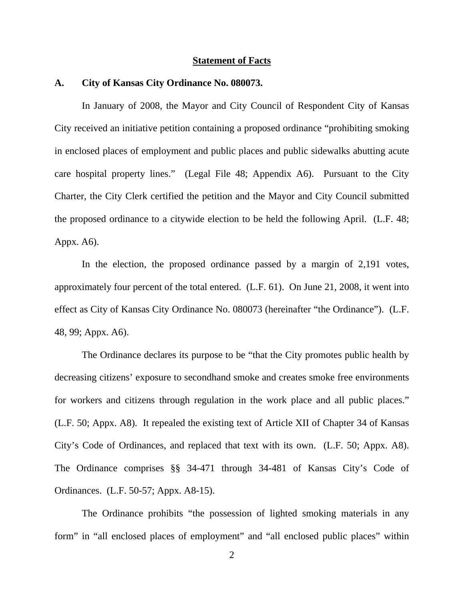#### **Statement of Facts**

#### **A. City of Kansas City Ordinance No. 080073.**

In January of 2008, the Mayor and City Council of Respondent City of Kansas City received an initiative petition containing a proposed ordinance "prohibiting smoking in enclosed places of employment and public places and public sidewalks abutting acute care hospital property lines." (Legal File 48; Appendix A6). Pursuant to the City Charter, the City Clerk certified the petition and the Mayor and City Council submitted the proposed ordinance to a citywide election to be held the following April. (L.F. 48; Appx. A6).

In the election, the proposed ordinance passed by a margin of 2,191 votes, approximately four percent of the total entered. (L.F. 61). On June 21, 2008, it went into effect as City of Kansas City Ordinance No. 080073 (hereinafter "the Ordinance"). (L.F. 48, 99; Appx. A6).

The Ordinance declares its purpose to be "that the City promotes public health by decreasing citizens' exposure to secondhand smoke and creates smoke free environments for workers and citizens through regulation in the work place and all public places." (L.F. 50; Appx. A8). It repealed the existing text of Article XII of Chapter 34 of Kansas City's Code of Ordinances, and replaced that text with its own. (L.F. 50; Appx. A8). The Ordinance comprises §§ 34-471 through 34-481 of Kansas City's Code of Ordinances. (L.F. 50-57; Appx. A8-15).

The Ordinance prohibits "the possession of lighted smoking materials in any form" in "all enclosed places of employment" and "all enclosed public places" within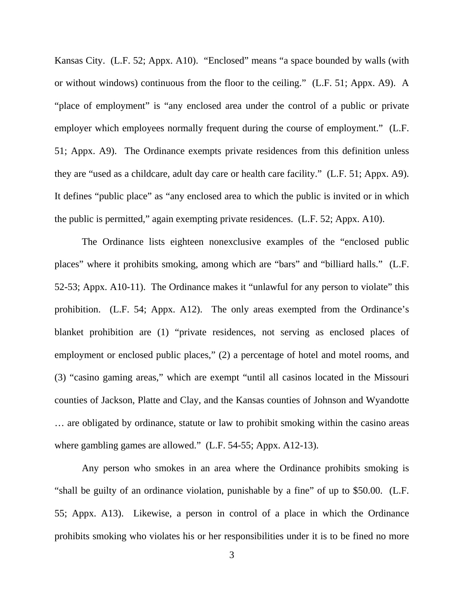Kansas City. (L.F. 52; Appx. A10). "Enclosed" means "a space bounded by walls (with or without windows) continuous from the floor to the ceiling." (L.F. 51; Appx. A9). A "place of employment" is "any enclosed area under the control of a public or private employer which employees normally frequent during the course of employment." (L.F. 51; Appx. A9). The Ordinance exempts private residences from this definition unless they are "used as a childcare, adult day care or health care facility." (L.F. 51; Appx. A9). It defines "public place" as "any enclosed area to which the public is invited or in which the public is permitted," again exempting private residences. (L.F. 52; Appx. A10).

The Ordinance lists eighteen nonexclusive examples of the "enclosed public places" where it prohibits smoking, among which are "bars" and "billiard halls." (L.F. 52-53; Appx. A10-11). The Ordinance makes it "unlawful for any person to violate" this prohibition. (L.F. 54; Appx. A12). The only areas exempted from the Ordinance's blanket prohibition are (1) "private residences, not serving as enclosed places of employment or enclosed public places," (2) a percentage of hotel and motel rooms, and (3) "casino gaming areas," which are exempt "until all casinos located in the Missouri counties of Jackson, Platte and Clay, and the Kansas counties of Johnson and Wyandotte … are obligated by ordinance, statute or law to prohibit smoking within the casino areas where gambling games are allowed." (L.F. 54-55; Appx. A12-13).

Any person who smokes in an area where the Ordinance prohibits smoking is "shall be guilty of an ordinance violation, punishable by a fine" of up to \$50.00. (L.F. 55; Appx. A13). Likewise, a person in control of a place in which the Ordinance prohibits smoking who violates his or her responsibilities under it is to be fined no more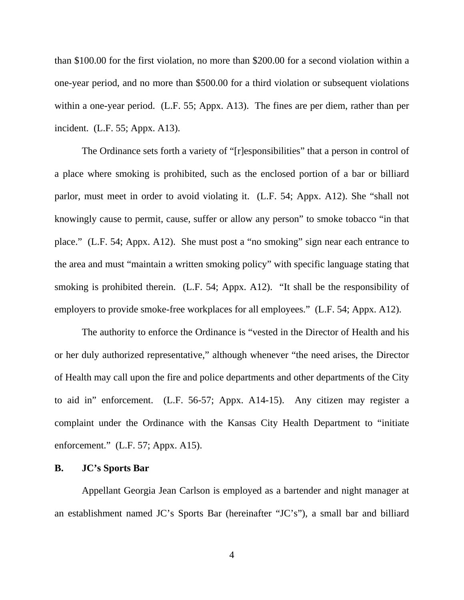than \$100.00 for the first violation, no more than \$200.00 for a second violation within a one-year period, and no more than \$500.00 for a third violation or subsequent violations within a one-year period. (L.F. 55; Appx. A13). The fines are per diem, rather than per incident. (L.F. 55; Appx. A13).

The Ordinance sets forth a variety of "[r]esponsibilities" that a person in control of a place where smoking is prohibited, such as the enclosed portion of a bar or billiard parlor, must meet in order to avoid violating it. (L.F. 54; Appx. A12). She "shall not knowingly cause to permit, cause, suffer or allow any person" to smoke tobacco "in that place." (L.F. 54; Appx. A12). She must post a "no smoking" sign near each entrance to the area and must "maintain a written smoking policy" with specific language stating that smoking is prohibited therein. (L.F. 54; Appx. A12). "It shall be the responsibility of employers to provide smoke-free workplaces for all employees." (L.F. 54; Appx. A12).

The authority to enforce the Ordinance is "vested in the Director of Health and his or her duly authorized representative," although whenever "the need arises, the Director of Health may call upon the fire and police departments and other departments of the City to aid in" enforcement. (L.F. 56-57; Appx. A14-15). Any citizen may register a complaint under the Ordinance with the Kansas City Health Department to "initiate enforcement." (L.F. 57; Appx. A15).

### **B. JC's Sports Bar**

Appellant Georgia Jean Carlson is employed as a bartender and night manager at an establishment named JC's Sports Bar (hereinafter "JC's"), a small bar and billiard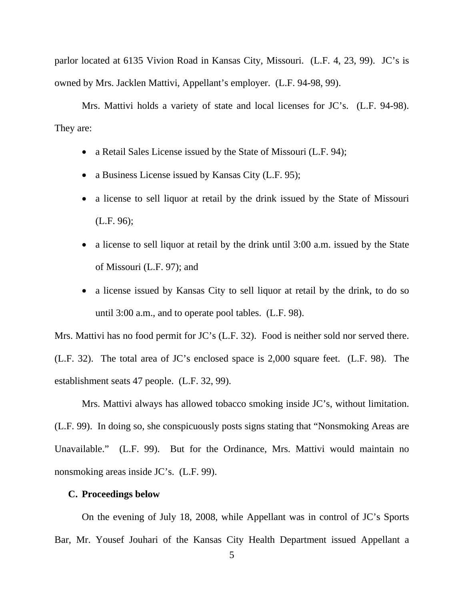parlor located at 6135 Vivion Road in Kansas City, Missouri. (L.F. 4, 23, 99). JC's is owned by Mrs. Jacklen Mattivi, Appellant's employer. (L.F. 94-98, 99).

Mrs. Mattivi holds a variety of state and local licenses for JC's. (L.F. 94-98). They are:

- a Retail Sales License issued by the State of Missouri (L.F. 94);
- a Business License issued by Kansas City (L.F. 95);
- a license to sell liquor at retail by the drink issued by the State of Missouri (L.F. 96);
- a license to sell liquor at retail by the drink until 3:00 a.m. issued by the State of Missouri (L.F. 97); and
- a license issued by Kansas City to sell liquor at retail by the drink, to do so until 3:00 a.m., and to operate pool tables. (L.F. 98).

Mrs. Mattivi has no food permit for JC's (L.F. 32). Food is neither sold nor served there. (L.F. 32). The total area of JC's enclosed space is 2,000 square feet. (L.F. 98). The establishment seats 47 people. (L.F. 32, 99).

Mrs. Mattivi always has allowed tobacco smoking inside JC's, without limitation. (L.F. 99). In doing so, she conspicuously posts signs stating that "Nonsmoking Areas are Unavailable." (L.F. 99). But for the Ordinance, Mrs. Mattivi would maintain no nonsmoking areas inside JC's. (L.F. 99).

#### **C. Proceedings below**

On the evening of July 18, 2008, while Appellant was in control of JC's Sports Bar, Mr. Yousef Jouhari of the Kansas City Health Department issued Appellant a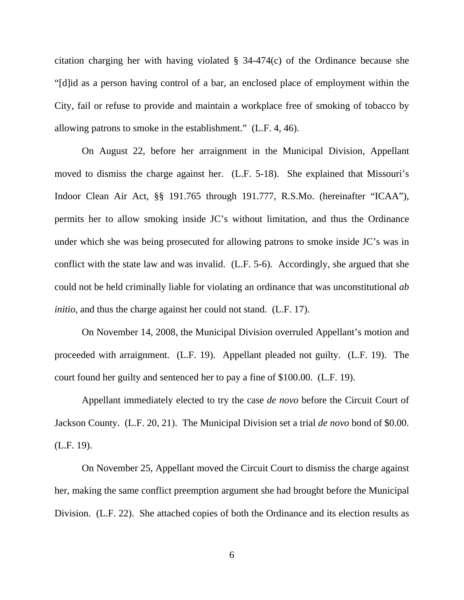citation charging her with having violated § 34-474(c) of the Ordinance because she "[d]id as a person having control of a bar, an enclosed place of employment within the City, fail or refuse to provide and maintain a workplace free of smoking of tobacco by allowing patrons to smoke in the establishment." (L.F. 4, 46).

On August 22, before her arraignment in the Municipal Division, Appellant moved to dismiss the charge against her. (L.F. 5-18). She explained that Missouri's Indoor Clean Air Act, §§ 191.765 through 191.777, R.S.Mo. (hereinafter "ICAA"), permits her to allow smoking inside JC's without limitation, and thus the Ordinance under which she was being prosecuted for allowing patrons to smoke inside JC's was in conflict with the state law and was invalid. (L.F. 5-6). Accordingly, she argued that she could not be held criminally liable for violating an ordinance that was unconstitutional *ab initio*, and thus the charge against her could not stand. (L.F. 17).

On November 14, 2008, the Municipal Division overruled Appellant's motion and proceeded with arraignment. (L.F. 19). Appellant pleaded not guilty. (L.F. 19). The court found her guilty and sentenced her to pay a fine of \$100.00. (L.F. 19).

Appellant immediately elected to try the case *de novo* before the Circuit Court of Jackson County. (L.F. 20, 21). The Municipal Division set a trial *de novo* bond of \$0.00. (L.F. 19).

On November 25, Appellant moved the Circuit Court to dismiss the charge against her, making the same conflict preemption argument she had brought before the Municipal Division. (L.F. 22). She attached copies of both the Ordinance and its election results as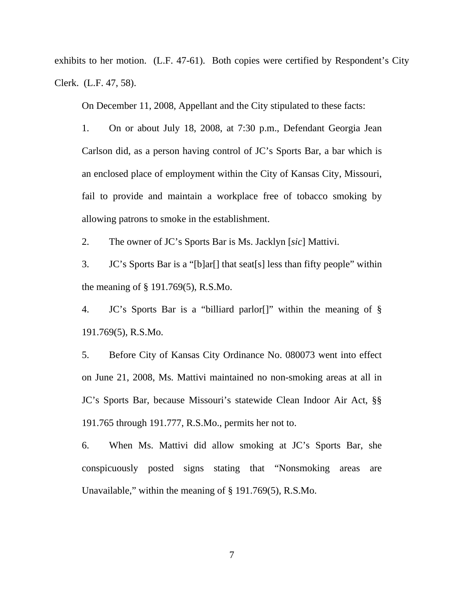exhibits to her motion. (L.F. 47-61). Both copies were certified by Respondent's City Clerk. (L.F. 47, 58).

On December 11, 2008, Appellant and the City stipulated to these facts:

1. On or about July 18, 2008, at 7:30 p.m., Defendant Georgia Jean Carlson did, as a person having control of JC's Sports Bar, a bar which is an enclosed place of employment within the City of Kansas City, Missouri, fail to provide and maintain a workplace free of tobacco smoking by allowing patrons to smoke in the establishment.

2. The owner of JC's Sports Bar is Ms. Jacklyn [*sic*] Mattivi.

3. JC's Sports Bar is a "[b]ar[] that seat[s] less than fifty people" within the meaning of § 191.769(5), R.S.Mo.

4. JC's Sports Bar is a "billiard parlor[]" within the meaning of § 191.769(5), R.S.Mo.

5. Before City of Kansas City Ordinance No. 080073 went into effect on June 21, 2008, Ms. Mattivi maintained no non-smoking areas at all in JC's Sports Bar, because Missouri's statewide Clean Indoor Air Act, §§ 191.765 through 191.777, R.S.Mo., permits her not to.

6. When Ms. Mattivi did allow smoking at JC's Sports Bar, she conspicuously posted signs stating that "Nonsmoking areas are Unavailable," within the meaning of § 191.769(5), R.S.Mo.

7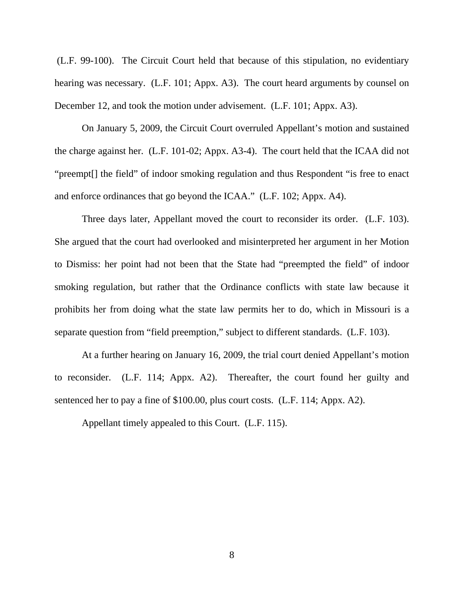(L.F. 99-100). The Circuit Court held that because of this stipulation, no evidentiary hearing was necessary. (L.F. 101; Appx. A3). The court heard arguments by counsel on December 12, and took the motion under advisement. (L.F. 101; Appx. A3).

 On January 5, 2009, the Circuit Court overruled Appellant's motion and sustained the charge against her. (L.F. 101-02; Appx. A3-4). The court held that the ICAA did not "preempt[] the field" of indoor smoking regulation and thus Respondent "is free to enact and enforce ordinances that go beyond the ICAA." (L.F. 102; Appx. A4).

 Three days later, Appellant moved the court to reconsider its order. (L.F. 103). She argued that the court had overlooked and misinterpreted her argument in her Motion to Dismiss: her point had not been that the State had "preempted the field" of indoor smoking regulation, but rather that the Ordinance conflicts with state law because it prohibits her from doing what the state law permits her to do, which in Missouri is a separate question from "field preemption," subject to different standards. (L.F. 103).

At a further hearing on January 16, 2009, the trial court denied Appellant's motion to reconsider. (L.F. 114; Appx. A2). Thereafter, the court found her guilty and sentenced her to pay a fine of \$100.00, plus court costs. (L.F. 114; Appx. A2).

Appellant timely appealed to this Court. (L.F. 115).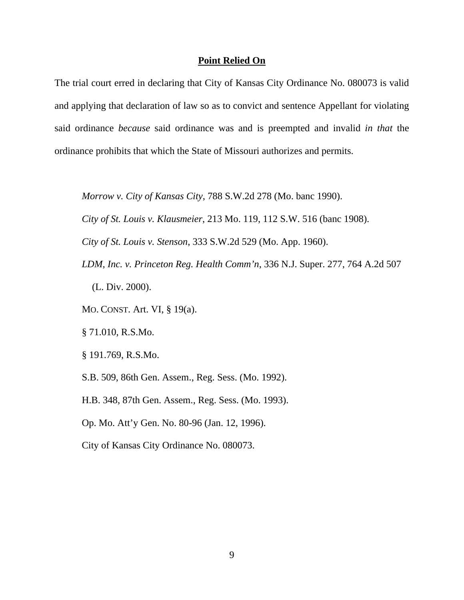#### **Point Relied On**

The trial court erred in declaring that City of Kansas City Ordinance No. 080073 is valid and applying that declaration of law so as to convict and sentence Appellant for violating said ordinance *because* said ordinance was and is preempted and invalid *in that* the ordinance prohibits that which the State of Missouri authorizes and permits.

*Morrow v. City of Kansas City*, 788 S.W.2d 278 (Mo. banc 1990).

*City of St. Louis v. Klausmeier*, 213 Mo. 119, 112 S.W. 516 (banc 1908).

*City of St. Louis v. Stenson*, 333 S.W.2d 529 (Mo. App. 1960).

*LDM, Inc. v. Princeton Reg. Health Comm'n*, 336 N.J. Super. 277, 764 A.2d 507 (L. Div. 2000).

MO. CONST. Art. VI, § 19(a).

§ 71.010, R.S.Mo.

§ 191.769, R.S.Mo.

S.B. 509, 86th Gen. Assem., Reg. Sess. (Mo. 1992).

H.B. 348, 87th Gen. Assem., Reg. Sess. (Mo. 1993).

Op. Mo. Att'y Gen. No. 80-96 (Jan. 12, 1996).

City of Kansas City Ordinance No. 080073.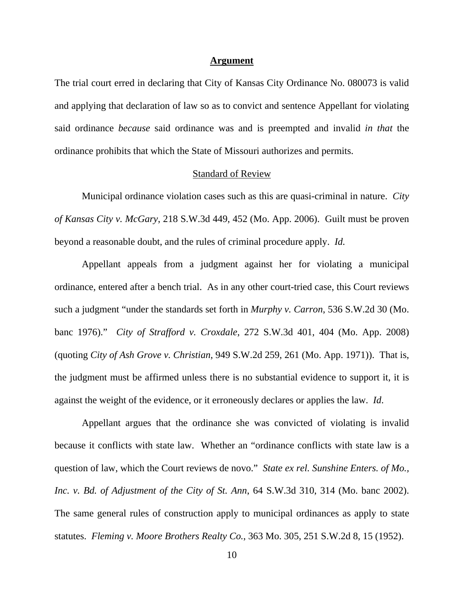#### **Argument**

The trial court erred in declaring that City of Kansas City Ordinance No. 080073 is valid and applying that declaration of law so as to convict and sentence Appellant for violating said ordinance *because* said ordinance was and is preempted and invalid *in that* the ordinance prohibits that which the State of Missouri authorizes and permits.

#### Standard of Review

Municipal ordinance violation cases such as this are quasi-criminal in nature. *City of Kansas City v. McGary*, 218 S.W.3d 449, 452 (Mo. App. 2006). Guilt must be proven beyond a reasonable doubt, and the rules of criminal procedure apply. *Id.* 

Appellant appeals from a judgment against her for violating a municipal ordinance, entered after a bench trial. As in any other court-tried case, this Court reviews such a judgment "under the standards set forth in *Murphy v. Carron*, 536 S.W.2d 30 (Mo. banc 1976)." *City of Strafford v. Croxdale*, 272 S.W.3d 401, 404 (Mo. App. 2008) (quoting *City of Ash Grove v. Christian*, 949 S.W.2d 259, 261 (Mo. App. 1971)). That is, the judgment must be affirmed unless there is no substantial evidence to support it, it is against the weight of the evidence, or it erroneously declares or applies the law. *Id*.

Appellant argues that the ordinance she was convicted of violating is invalid because it conflicts with state law. Whether an "ordinance conflicts with state law is a question of law, which the Court reviews de novo." *State ex rel. Sunshine Enters. of Mo., Inc. v. Bd. of Adjustment of the City of St. Ann*, 64 S.W.3d 310, 314 (Mo. banc 2002). The same general rules of construction apply to municipal ordinances as apply to state statutes. *Fleming v. Moore Brothers Realty Co.*, 363 Mo. 305, 251 S.W.2d 8, 15 (1952).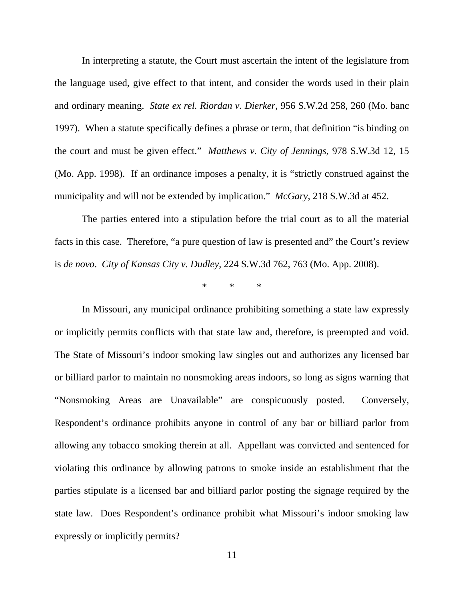In interpreting a statute, the Court must ascertain the intent of the legislature from the language used, give effect to that intent, and consider the words used in their plain and ordinary meaning. *State ex rel. Riordan v. Dierker*, 956 S.W.2d 258, 260 (Mo. banc 1997). When a statute specifically defines a phrase or term, that definition "is binding on the court and must be given effect." *Matthews v. City of Jennings*, 978 S.W.3d 12, 15 (Mo. App. 1998). If an ordinance imposes a penalty, it is "strictly construed against the municipality and will not be extended by implication." *McGary*, 218 S.W.3d at 452.

The parties entered into a stipulation before the trial court as to all the material facts in this case. Therefore, "a pure question of law is presented and" the Court's review is *de novo*. *City of Kansas City v. Dudley*, 224 S.W.3d 762, 763 (Mo. App. 2008).

\* \* \*

 In Missouri, any municipal ordinance prohibiting something a state law expressly or implicitly permits conflicts with that state law and, therefore, is preempted and void. The State of Missouri's indoor smoking law singles out and authorizes any licensed bar or billiard parlor to maintain no nonsmoking areas indoors, so long as signs warning that "Nonsmoking Areas are Unavailable" are conspicuously posted. Conversely, Respondent's ordinance prohibits anyone in control of any bar or billiard parlor from allowing any tobacco smoking therein at all. Appellant was convicted and sentenced for violating this ordinance by allowing patrons to smoke inside an establishment that the parties stipulate is a licensed bar and billiard parlor posting the signage required by the state law. Does Respondent's ordinance prohibit what Missouri's indoor smoking law expressly or implicitly permits?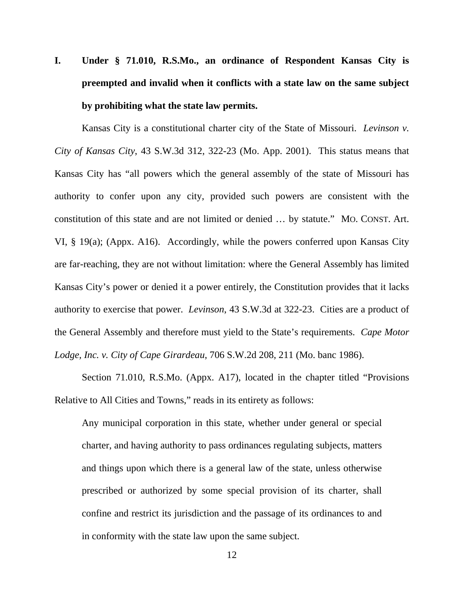# **I. Under § 71.010, R.S.Mo., an ordinance of Respondent Kansas City is preempted and invalid when it conflicts with a state law on the same subject by prohibiting what the state law permits.**

Kansas City is a constitutional charter city of the State of Missouri. *Levinson v. City of Kansas City*, 43 S.W.3d 312, 322-23 (Mo. App. 2001). This status means that Kansas City has "all powers which the general assembly of the state of Missouri has authority to confer upon any city, provided such powers are consistent with the constitution of this state and are not limited or denied … by statute." MO. CONST. Art. VI, § 19(a); (Appx. A16). Accordingly, while the powers conferred upon Kansas City are far-reaching, they are not without limitation: where the General Assembly has limited Kansas City's power or denied it a power entirely, the Constitution provides that it lacks authority to exercise that power. *Levinson*, 43 S.W.3d at 322-23. Cities are a product of the General Assembly and therefore must yield to the State's requirements. *Cape Motor Lodge, Inc. v. City of Cape Girardeau*, 706 S.W.2d 208, 211 (Mo. banc 1986).

Section 71.010, R.S.Mo. (Appx. A17), located in the chapter titled "Provisions Relative to All Cities and Towns," reads in its entirety as follows:

Any municipal corporation in this state, whether under general or special charter, and having authority to pass ordinances regulating subjects, matters and things upon which there is a general law of the state, unless otherwise prescribed or authorized by some special provision of its charter, shall confine and restrict its jurisdiction and the passage of its ordinances to and in conformity with the state law upon the same subject.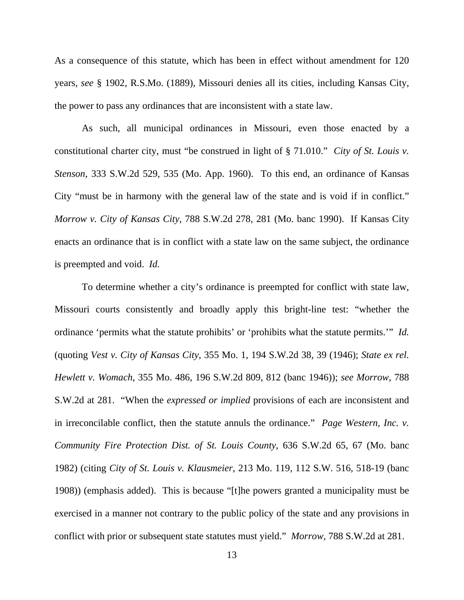As a consequence of this statute, which has been in effect without amendment for 120 years, *see* § 1902, R.S.Mo. (1889), Missouri denies all its cities, including Kansas City, the power to pass any ordinances that are inconsistent with a state law.

As such, all municipal ordinances in Missouri, even those enacted by a constitutional charter city, must "be construed in light of § 71.010." *City of St. Louis v. Stenson*, 333 S.W.2d 529, 535 (Mo. App. 1960). To this end, an ordinance of Kansas City "must be in harmony with the general law of the state and is void if in conflict." *Morrow v. City of Kansas City*, 788 S.W.2d 278, 281 (Mo. banc 1990). If Kansas City enacts an ordinance that is in conflict with a state law on the same subject, the ordinance is preempted and void. *Id.*

To determine whether a city's ordinance is preempted for conflict with state law, Missouri courts consistently and broadly apply this bright-line test: "whether the ordinance 'permits what the statute prohibits' or 'prohibits what the statute permits.'" *Id.* (quoting *Vest v. City of Kansas City*, 355 Mo. 1, 194 S.W.2d 38, 39 (1946); *State ex rel. Hewlett v. Womach*, 355 Mo. 486, 196 S.W.2d 809, 812 (banc 1946)); *see Morrow*, 788 S.W.2d at 281. "When the *expressed or implied* provisions of each are inconsistent and in irreconcilable conflict, then the statute annuls the ordinance." *Page Western, Inc. v. Community Fire Protection Dist. of St. Louis County*, 636 S.W.2d 65, 67 (Mo. banc 1982) (citing *City of St. Louis v. Klausmeier*, 213 Mo. 119, 112 S.W. 516, 518-19 (banc 1908)) (emphasis added). This is because "[t]he powers granted a municipality must be exercised in a manner not contrary to the public policy of the state and any provisions in conflict with prior or subsequent state statutes must yield." *Morrow*, 788 S.W.2d at 281.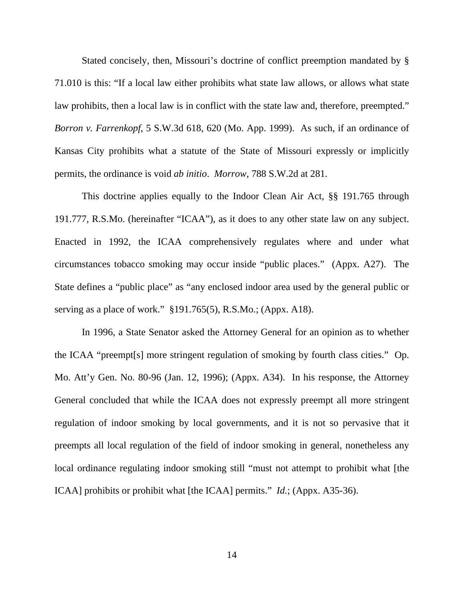Stated concisely, then, Missouri's doctrine of conflict preemption mandated by § 71.010 is this: "If a local law either prohibits what state law allows, or allows what state law prohibits, then a local law is in conflict with the state law and, therefore, preempted." *Borron v. Farrenkopf*, 5 S.W.3d 618, 620 (Mo. App. 1999). As such, if an ordinance of Kansas City prohibits what a statute of the State of Missouri expressly or implicitly permits, the ordinance is void *ab initio*. *Morrow*, 788 S.W.2d at 281.

 This doctrine applies equally to the Indoor Clean Air Act, §§ 191.765 through 191.777, R.S.Mo. (hereinafter "ICAA"), as it does to any other state law on any subject. Enacted in 1992, the ICAA comprehensively regulates where and under what circumstances tobacco smoking may occur inside "public places." (Appx. A27). The State defines a "public place" as "any enclosed indoor area used by the general public or serving as a place of work." §191.765(5), R.S.Mo.; (Appx. A18).

In 1996, a State Senator asked the Attorney General for an opinion as to whether the ICAA "preempt[s] more stringent regulation of smoking by fourth class cities." Op. Mo. Att'y Gen. No. 80-96 (Jan. 12, 1996); (Appx. A34). In his response, the Attorney General concluded that while the ICAA does not expressly preempt all more stringent regulation of indoor smoking by local governments, and it is not so pervasive that it preempts all local regulation of the field of indoor smoking in general, nonetheless any local ordinance regulating indoor smoking still "must not attempt to prohibit what [the ICAA] prohibits or prohibit what [the ICAA] permits." *Id.*; (Appx. A35-36).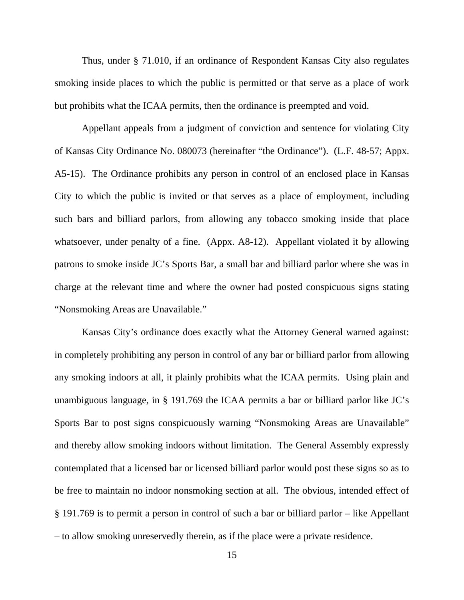Thus, under § 71.010, if an ordinance of Respondent Kansas City also regulates smoking inside places to which the public is permitted or that serve as a place of work but prohibits what the ICAA permits, then the ordinance is preempted and void.

Appellant appeals from a judgment of conviction and sentence for violating City of Kansas City Ordinance No. 080073 (hereinafter "the Ordinance"). (L.F. 48-57; Appx. A5-15). The Ordinance prohibits any person in control of an enclosed place in Kansas City to which the public is invited or that serves as a place of employment, including such bars and billiard parlors, from allowing any tobacco smoking inside that place whatsoever, under penalty of a fine. (Appx. A8-12). Appellant violated it by allowing patrons to smoke inside JC's Sports Bar, a small bar and billiard parlor where she was in charge at the relevant time and where the owner had posted conspicuous signs stating "Nonsmoking Areas are Unavailable."

Kansas City's ordinance does exactly what the Attorney General warned against: in completely prohibiting any person in control of any bar or billiard parlor from allowing any smoking indoors at all, it plainly prohibits what the ICAA permits. Using plain and unambiguous language, in § 191.769 the ICAA permits a bar or billiard parlor like JC's Sports Bar to post signs conspicuously warning "Nonsmoking Areas are Unavailable" and thereby allow smoking indoors without limitation. The General Assembly expressly contemplated that a licensed bar or licensed billiard parlor would post these signs so as to be free to maintain no indoor nonsmoking section at all. The obvious, intended effect of § 191.769 is to permit a person in control of such a bar or billiard parlor – like Appellant – to allow smoking unreservedly therein, as if the place were a private residence.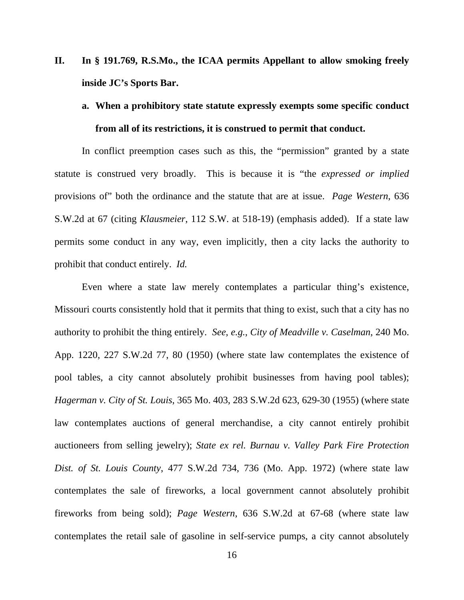- **II. In § 191.769, R.S.Mo., the ICAA permits Appellant to allow smoking freely inside JC's Sports Bar.** 
	- **a. When a prohibitory state statute expressly exempts some specific conduct from all of its restrictions, it is construed to permit that conduct.**

In conflict preemption cases such as this, the "permission" granted by a state statute is construed very broadly. This is because it is "the *expressed or implied* provisions of" both the ordinance and the statute that are at issue. *Page Western*, 636 S.W.2d at 67 (citing *Klausmeier*, 112 S.W. at 518-19) (emphasis added). If a state law permits some conduct in any way, even implicitly, then a city lacks the authority to prohibit that conduct entirely. *Id.*

Even where a state law merely contemplates a particular thing's existence, Missouri courts consistently hold that it permits that thing to exist, such that a city has no authority to prohibit the thing entirely. *See*, *e.g.*, *City of Meadville v. Caselman*, 240 Mo. App. 1220, 227 S.W.2d 77, 80 (1950) (where state law contemplates the existence of pool tables, a city cannot absolutely prohibit businesses from having pool tables); *Hagerman v. City of St. Louis*, 365 Mo. 403, 283 S.W.2d 623, 629-30 (1955) (where state law contemplates auctions of general merchandise, a city cannot entirely prohibit auctioneers from selling jewelry); *State ex rel. Burnau v. Valley Park Fire Protection Dist. of St. Louis County*, 477 S.W.2d 734, 736 (Mo. App. 1972) (where state law contemplates the sale of fireworks, a local government cannot absolutely prohibit fireworks from being sold); *Page Western*, 636 S.W.2d at 67-68 (where state law contemplates the retail sale of gasoline in self-service pumps, a city cannot absolutely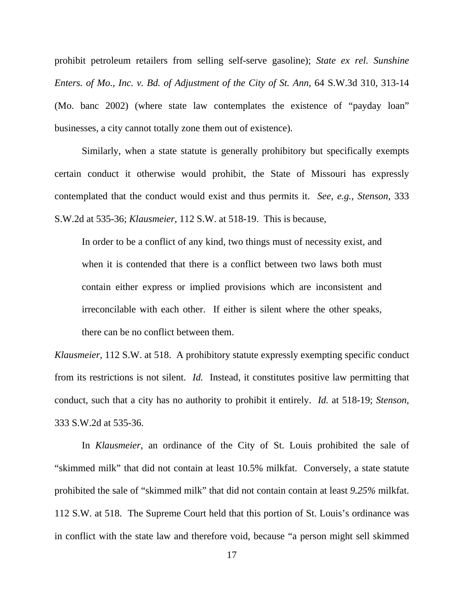prohibit petroleum retailers from selling self-serve gasoline); *State ex rel. Sunshine Enters. of Mo., Inc. v. Bd. of Adjustment of the City of St. Ann*, 64 S.W.3d 310, 313-14 (Mo. banc 2002) (where state law contemplates the existence of "payday loan" businesses, a city cannot totally zone them out of existence).

Similarly, when a state statute is generally prohibitory but specifically exempts certain conduct it otherwise would prohibit, the State of Missouri has expressly contemplated that the conduct would exist and thus permits it. *See, e.g.*, *Stenson*, 333 S.W.2d at 535-36; *Klausmeier*, 112 S.W. at 518-19. This is because,

In order to be a conflict of any kind, two things must of necessity exist, and when it is contended that there is a conflict between two laws both must contain either express or implied provisions which are inconsistent and irreconcilable with each other. If either is silent where the other speaks, there can be no conflict between them.

*Klausmeier*, 112 S.W. at 518. A prohibitory statute expressly exempting specific conduct from its restrictions is not silent. *Id.* Instead, it constitutes positive law permitting that conduct, such that a city has no authority to prohibit it entirely. *Id.* at 518-19; *Stenson*, 333 S.W.2d at 535-36.

In *Klausmeier*, an ordinance of the City of St. Louis prohibited the sale of "skimmed milk" that did not contain at least 10.5% milkfat. Conversely, a state statute prohibited the sale of "skimmed milk" that did not contain contain at least *9.25%* milkfat. 112 S.W. at 518. The Supreme Court held that this portion of St. Louis's ordinance was in conflict with the state law and therefore void, because "a person might sell skimmed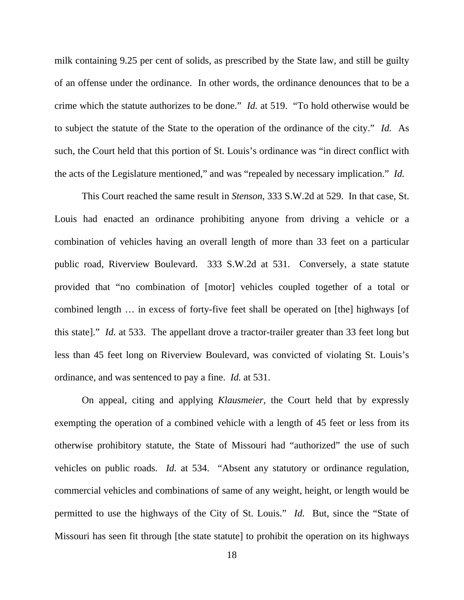milk containing 9.25 per cent of solids, as prescribed by the State law, and still be guilty of an offense under the ordinance. In other words, the ordinance denounces that to be a crime which the statute authorizes to be done." *Id.* at 519. "To hold otherwise would be to subject the statute of the State to the operation of the ordinance of the city." *Id.* As such, the Court held that this portion of St. Louis's ordinance was "in direct conflict with the acts of the Legislature mentioned," and was "repealed by necessary implication." *Id.*

This Court reached the same result in *Stenson*, 333 S.W.2d at 529. In that case, St. Louis had enacted an ordinance prohibiting anyone from driving a vehicle or a combination of vehicles having an overall length of more than 33 feet on a particular public road, Riverview Boulevard. 333 S.W.2d at 531. Conversely, a state statute provided that "no combination of [motor] vehicles coupled together of a total or combined length … in excess of forty-five feet shall be operated on [the] highways [of this state]." *Id.* at 533. The appellant drove a tractor-trailer greater than 33 feet long but less than 45 feet long on Riverview Boulevard, was convicted of violating St. Louis's ordinance, and was sentenced to pay a fine. *Id.* at 531.

On appeal, citing and applying *Klausmeier*, the Court held that by expressly exempting the operation of a combined vehicle with a length of 45 feet or less from its otherwise prohibitory statute, the State of Missouri had "authorized" the use of such vehicles on public roads. *Id.* at 534. "Absent any statutory or ordinance regulation, commercial vehicles and combinations of same of any weight, height, or length would be permitted to use the highways of the City of St. Louis." *Id.* But, since the "State of Missouri has seen fit through [the state statute] to prohibit the operation on its highways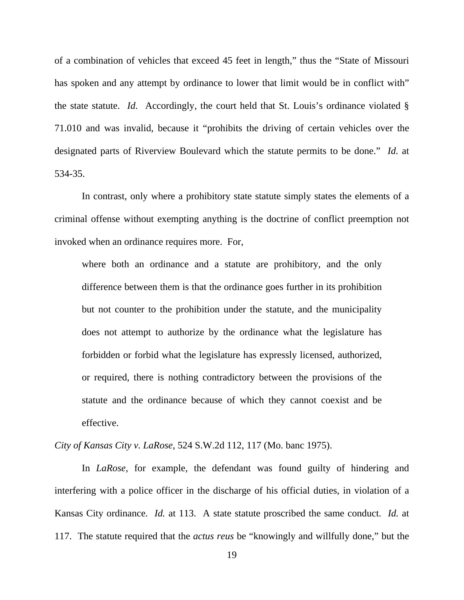of a combination of vehicles that exceed 45 feet in length," thus the "State of Missouri has spoken and any attempt by ordinance to lower that limit would be in conflict with" the state statute. *Id.* Accordingly, the court held that St. Louis's ordinance violated § 71.010 and was invalid, because it "prohibits the driving of certain vehicles over the designated parts of Riverview Boulevard which the statute permits to be done." *Id.* at 534-35.

In contrast, only where a prohibitory state statute simply states the elements of a criminal offense without exempting anything is the doctrine of conflict preemption not invoked when an ordinance requires more. For,

where both an ordinance and a statute are prohibitory, and the only difference between them is that the ordinance goes further in its prohibition but not counter to the prohibition under the statute, and the municipality does not attempt to authorize by the ordinance what the legislature has forbidden or forbid what the legislature has expressly licensed, authorized, or required, there is nothing contradictory between the provisions of the statute and the ordinance because of which they cannot coexist and be effective.

*City of Kansas City v. LaRose*, 524 S.W.2d 112, 117 (Mo. banc 1975).

In *LaRose*, for example, the defendant was found guilty of hindering and interfering with a police officer in the discharge of his official duties, in violation of a Kansas City ordinance. *Id.* at 113. A state statute proscribed the same conduct. *Id.* at 117. The statute required that the *actus reus* be "knowingly and willfully done," but the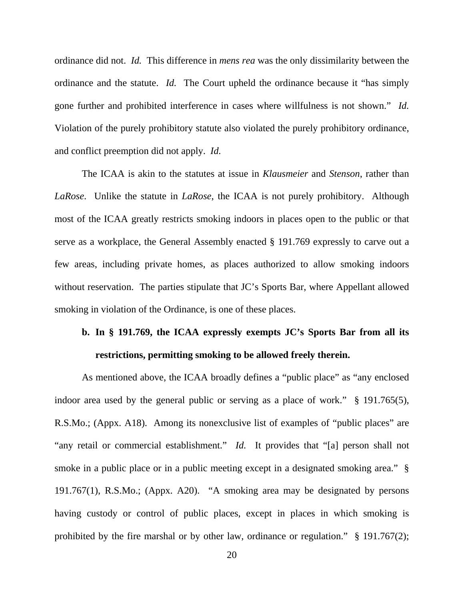ordinance did not. *Id.* This difference in *mens rea* was the only dissimilarity between the ordinance and the statute. *Id.* The Court upheld the ordinance because it "has simply gone further and prohibited interference in cases where willfulness is not shown." *Id.* Violation of the purely prohibitory statute also violated the purely prohibitory ordinance, and conflict preemption did not apply. *Id.*

The ICAA is akin to the statutes at issue in *Klausmeier* and *Stenson*, rather than *LaRose*. Unlike the statute in *LaRose*, the ICAA is not purely prohibitory. Although most of the ICAA greatly restricts smoking indoors in places open to the public or that serve as a workplace, the General Assembly enacted § 191.769 expressly to carve out a few areas, including private homes, as places authorized to allow smoking indoors without reservation. The parties stipulate that JC's Sports Bar, where Appellant allowed smoking in violation of the Ordinance, is one of these places.

# **b. In § 191.769, the ICAA expressly exempts JC's Sports Bar from all its restrictions, permitting smoking to be allowed freely therein.**

As mentioned above, the ICAA broadly defines a "public place" as "any enclosed indoor area used by the general public or serving as a place of work." § 191.765(5), R.S.Mo.; (Appx. A18). Among its nonexclusive list of examples of "public places" are "any retail or commercial establishment." *Id.* It provides that "[a] person shall not smoke in a public place or in a public meeting except in a designated smoking area." § 191.767(1), R.S.Mo.; (Appx. A20). "A smoking area may be designated by persons having custody or control of public places, except in places in which smoking is prohibited by the fire marshal or by other law, ordinance or regulation." § 191.767(2);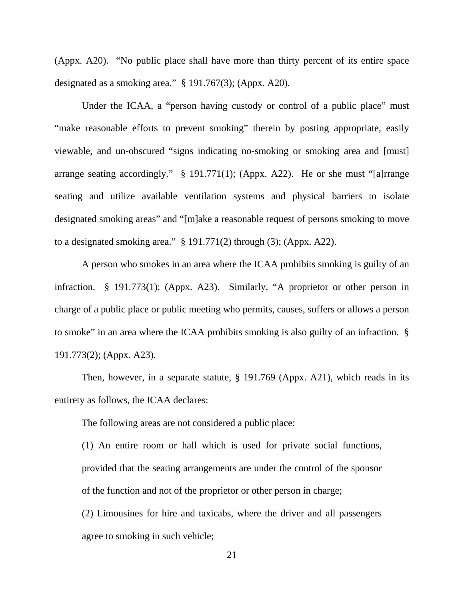(Appx. A20). "No public place shall have more than thirty percent of its entire space designated as a smoking area." § 191.767(3); (Appx. A20).

Under the ICAA, a "person having custody or control of a public place" must "make reasonable efforts to prevent smoking" therein by posting appropriate, easily viewable, and un-obscured "signs indicating no-smoking or smoking area and [must] arrange seating accordingly." § 191.771(1); (Appx. A22). He or she must "[a]rrange seating and utilize available ventilation systems and physical barriers to isolate designated smoking areas" and "[m]ake a reasonable request of persons smoking to move to a designated smoking area."  $\S$  191.771(2) through (3); (Appx. A22).

A person who smokes in an area where the ICAA prohibits smoking is guilty of an infraction. § 191.773(1); (Appx. A23). Similarly, "A proprietor or other person in charge of a public place or public meeting who permits, causes, suffers or allows a person to smoke" in an area where the ICAA prohibits smoking is also guilty of an infraction. § 191.773(2); (Appx. A23).

Then, however, in a separate statute, § 191.769 (Appx. A21), which reads in its entirety as follows, the ICAA declares:

The following areas are not considered a public place:

(1) An entire room or hall which is used for private social functions, provided that the seating arrangements are under the control of the sponsor of the function and not of the proprietor or other person in charge;

(2) Limousines for hire and taxicabs, where the driver and all passengers agree to smoking in such vehicle;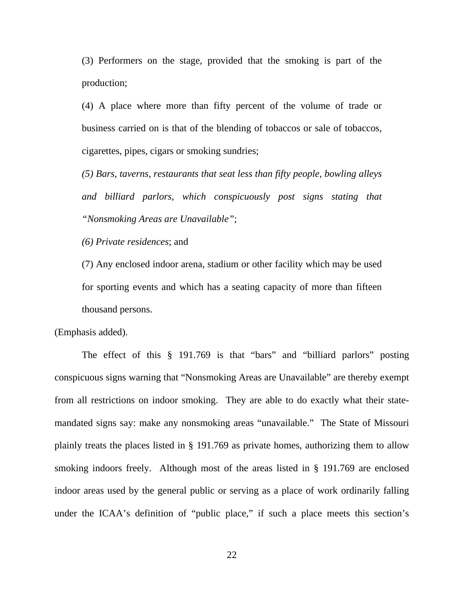(3) Performers on the stage, provided that the smoking is part of the production;

(4) A place where more than fifty percent of the volume of trade or business carried on is that of the blending of tobaccos or sale of tobaccos, cigarettes, pipes, cigars or smoking sundries;

*(5) Bars, taverns, restaurants that seat less than fifty people, bowling alleys and billiard parlors, which conspicuously post signs stating that "Nonsmoking Areas are Unavailable"*;

*(6) Private residences*; and

(7) Any enclosed indoor arena, stadium or other facility which may be used for sporting events and which has a seating capacity of more than fifteen thousand persons.

(Emphasis added).

The effect of this § 191.769 is that "bars" and "billiard parlors" posting conspicuous signs warning that "Nonsmoking Areas are Unavailable" are thereby exempt from all restrictions on indoor smoking. They are able to do exactly what their statemandated signs say: make any nonsmoking areas "unavailable." The State of Missouri plainly treats the places listed in § 191.769 as private homes, authorizing them to allow smoking indoors freely. Although most of the areas listed in § 191.769 are enclosed indoor areas used by the general public or serving as a place of work ordinarily falling under the ICAA's definition of "public place," if such a place meets this section's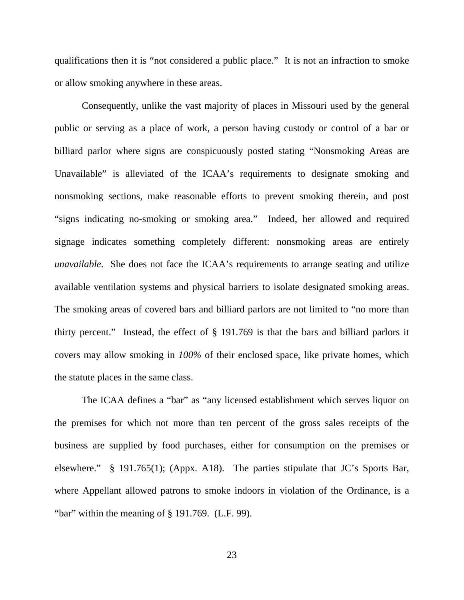qualifications then it is "not considered a public place." It is not an infraction to smoke or allow smoking anywhere in these areas.

Consequently, unlike the vast majority of places in Missouri used by the general public or serving as a place of work, a person having custody or control of a bar or billiard parlor where signs are conspicuously posted stating "Nonsmoking Areas are Unavailable" is alleviated of the ICAA's requirements to designate smoking and nonsmoking sections, make reasonable efforts to prevent smoking therein, and post "signs indicating no-smoking or smoking area." Indeed, her allowed and required signage indicates something completely different: nonsmoking areas are entirely *unavailable*. She does not face the ICAA's requirements to arrange seating and utilize available ventilation systems and physical barriers to isolate designated smoking areas. The smoking areas of covered bars and billiard parlors are not limited to "no more than thirty percent." Instead, the effect of § 191.769 is that the bars and billiard parlors it covers may allow smoking in *100%* of their enclosed space, like private homes, which the statute places in the same class.

 The ICAA defines a "bar" as "any licensed establishment which serves liquor on the premises for which not more than ten percent of the gross sales receipts of the business are supplied by food purchases, either for consumption on the premises or elsewhere." § 191.765(1); (Appx. A18). The parties stipulate that JC's Sports Bar, where Appellant allowed patrons to smoke indoors in violation of the Ordinance, is a "bar" within the meaning of § 191.769. (L.F. 99).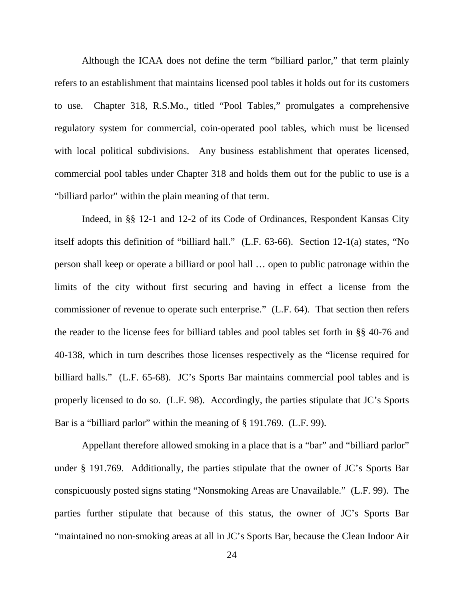Although the ICAA does not define the term "billiard parlor," that term plainly refers to an establishment that maintains licensed pool tables it holds out for its customers to use. Chapter 318, R.S.Mo., titled "Pool Tables," promulgates a comprehensive regulatory system for commercial, coin-operated pool tables, which must be licensed with local political subdivisions. Any business establishment that operates licensed, commercial pool tables under Chapter 318 and holds them out for the public to use is a "billiard parlor" within the plain meaning of that term.

Indeed, in §§ 12-1 and 12-2 of its Code of Ordinances, Respondent Kansas City itself adopts this definition of "billiard hall." (L.F. 63-66). Section 12-1(a) states, "No person shall keep or operate a billiard or pool hall … open to public patronage within the limits of the city without first securing and having in effect a license from the commissioner of revenue to operate such enterprise." (L.F. 64). That section then refers the reader to the license fees for billiard tables and pool tables set forth in §§ 40-76 and 40-138, which in turn describes those licenses respectively as the "license required for billiard halls." (L.F. 65-68). JC's Sports Bar maintains commercial pool tables and is properly licensed to do so. (L.F. 98). Accordingly, the parties stipulate that JC's Sports Bar is a "billiard parlor" within the meaning of § 191.769. (L.F. 99).

 Appellant therefore allowed smoking in a place that is a "bar" and "billiard parlor" under § 191.769. Additionally, the parties stipulate that the owner of JC's Sports Bar conspicuously posted signs stating "Nonsmoking Areas are Unavailable." (L.F. 99). The parties further stipulate that because of this status, the owner of JC's Sports Bar "maintained no non-smoking areas at all in JC's Sports Bar, because the Clean Indoor Air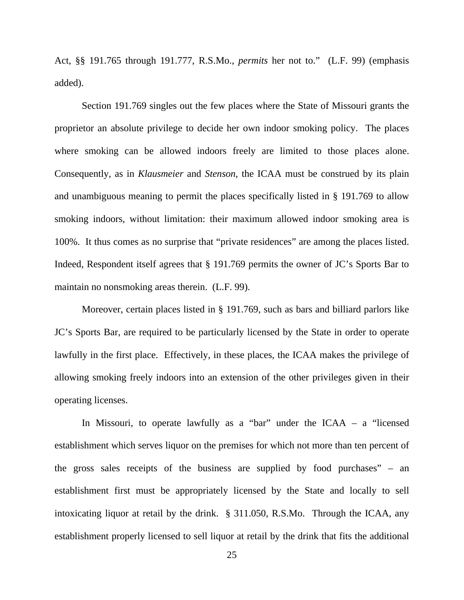Act, §§ 191.765 through 191.777, R.S.Mo., *permits* her not to." (L.F. 99) (emphasis added).

Section 191.769 singles out the few places where the State of Missouri grants the proprietor an absolute privilege to decide her own indoor smoking policy. The places where smoking can be allowed indoors freely are limited to those places alone. Consequently, as in *Klausmeier* and *Stenson*, the ICAA must be construed by its plain and unambiguous meaning to permit the places specifically listed in § 191.769 to allow smoking indoors, without limitation: their maximum allowed indoor smoking area is 100%. It thus comes as no surprise that "private residences" are among the places listed. Indeed, Respondent itself agrees that § 191.769 permits the owner of JC's Sports Bar to maintain no nonsmoking areas therein. (L.F. 99).

Moreover, certain places listed in § 191.769, such as bars and billiard parlors like JC's Sports Bar, are required to be particularly licensed by the State in order to operate lawfully in the first place. Effectively, in these places, the ICAA makes the privilege of allowing smoking freely indoors into an extension of the other privileges given in their operating licenses.

In Missouri, to operate lawfully as a "bar" under the ICAA – a "licensed establishment which serves liquor on the premises for which not more than ten percent of the gross sales receipts of the business are supplied by food purchases" – an establishment first must be appropriately licensed by the State and locally to sell intoxicating liquor at retail by the drink. § 311.050, R.S.Mo. Through the ICAA, any establishment properly licensed to sell liquor at retail by the drink that fits the additional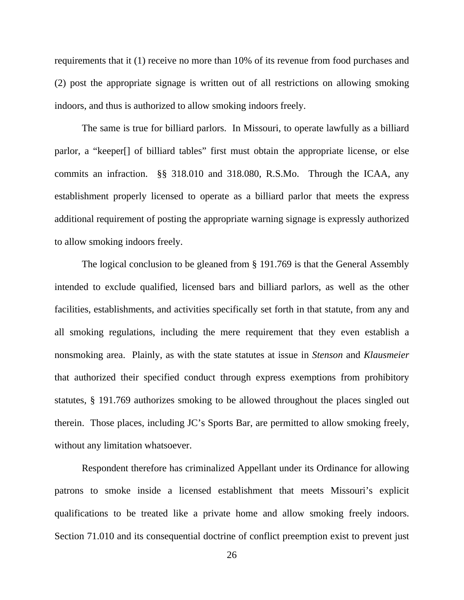requirements that it (1) receive no more than 10% of its revenue from food purchases and (2) post the appropriate signage is written out of all restrictions on allowing smoking indoors, and thus is authorized to allow smoking indoors freely.

 The same is true for billiard parlors. In Missouri, to operate lawfully as a billiard parlor, a "keeper[] of billiard tables" first must obtain the appropriate license, or else commits an infraction. §§ 318.010 and 318.080, R.S.Mo. Through the ICAA, any establishment properly licensed to operate as a billiard parlor that meets the express additional requirement of posting the appropriate warning signage is expressly authorized to allow smoking indoors freely.

The logical conclusion to be gleaned from § 191.769 is that the General Assembly intended to exclude qualified, licensed bars and billiard parlors, as well as the other facilities, establishments, and activities specifically set forth in that statute, from any and all smoking regulations, including the mere requirement that they even establish a nonsmoking area. Plainly, as with the state statutes at issue in *Stenson* and *Klausmeier* that authorized their specified conduct through express exemptions from prohibitory statutes, § 191.769 authorizes smoking to be allowed throughout the places singled out therein. Those places, including JC's Sports Bar, are permitted to allow smoking freely, without any limitation whatsoever.

Respondent therefore has criminalized Appellant under its Ordinance for allowing patrons to smoke inside a licensed establishment that meets Missouri's explicit qualifications to be treated like a private home and allow smoking freely indoors. Section 71.010 and its consequential doctrine of conflict preemption exist to prevent just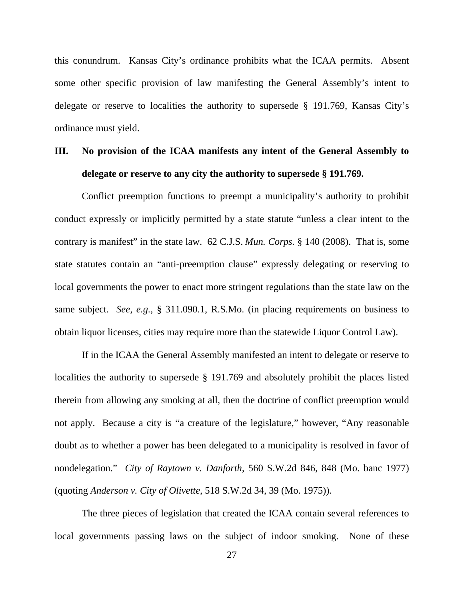this conundrum. Kansas City's ordinance prohibits what the ICAA permits. Absent some other specific provision of law manifesting the General Assembly's intent to delegate or reserve to localities the authority to supersede § 191.769, Kansas City's ordinance must yield.

# **III. No provision of the ICAA manifests any intent of the General Assembly to delegate or reserve to any city the authority to supersede § 191.769.**

Conflict preemption functions to preempt a municipality's authority to prohibit conduct expressly or implicitly permitted by a state statute "unless a clear intent to the contrary is manifest" in the state law. 62 C.J.S. *Mun. Corps.* § 140 (2008). That is, some state statutes contain an "anti-preemption clause" expressly delegating or reserving to local governments the power to enact more stringent regulations than the state law on the same subject. *See, e.g.,* § 311.090.1, R.S.Mo. (in placing requirements on business to obtain liquor licenses, cities may require more than the statewide Liquor Control Law).

If in the ICAA the General Assembly manifested an intent to delegate or reserve to localities the authority to supersede § 191.769 and absolutely prohibit the places listed therein from allowing any smoking at all, then the doctrine of conflict preemption would not apply. Because a city is "a creature of the legislature," however, "Any reasonable doubt as to whether a power has been delegated to a municipality is resolved in favor of nondelegation." *City of Raytown v. Danforth*, 560 S.W.2d 846, 848 (Mo. banc 1977) (quoting *Anderson v. City of Olivette*, 518 S.W.2d 34, 39 (Mo. 1975)).

The three pieces of legislation that created the ICAA contain several references to local governments passing laws on the subject of indoor smoking. None of these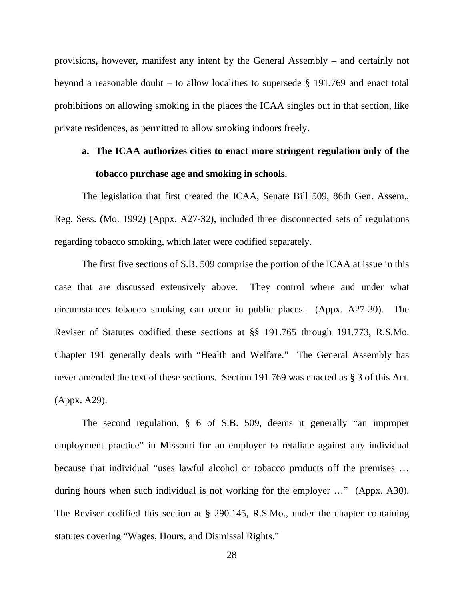provisions, however, manifest any intent by the General Assembly – and certainly not beyond a reasonable doubt – to allow localities to supersede § 191.769 and enact total prohibitions on allowing smoking in the places the ICAA singles out in that section, like private residences, as permitted to allow smoking indoors freely.

# **a. The ICAA authorizes cities to enact more stringent regulation only of the tobacco purchase age and smoking in schools.**

The legislation that first created the ICAA, Senate Bill 509, 86th Gen. Assem., Reg. Sess. (Mo. 1992) (Appx. A27-32), included three disconnected sets of regulations regarding tobacco smoking, which later were codified separately.

The first five sections of S.B. 509 comprise the portion of the ICAA at issue in this case that are discussed extensively above. They control where and under what circumstances tobacco smoking can occur in public places. (Appx. A27-30). The Reviser of Statutes codified these sections at §§ 191.765 through 191.773, R.S.Mo. Chapter 191 generally deals with "Health and Welfare." The General Assembly has never amended the text of these sections. Section 191.769 was enacted as § 3 of this Act. (Appx. A29).

The second regulation, § 6 of S.B. 509, deems it generally "an improper employment practice" in Missouri for an employer to retaliate against any individual because that individual "uses lawful alcohol or tobacco products off the premises … during hours when such individual is not working for the employer …" (Appx. A30). The Reviser codified this section at § 290.145, R.S.Mo., under the chapter containing statutes covering "Wages, Hours, and Dismissal Rights."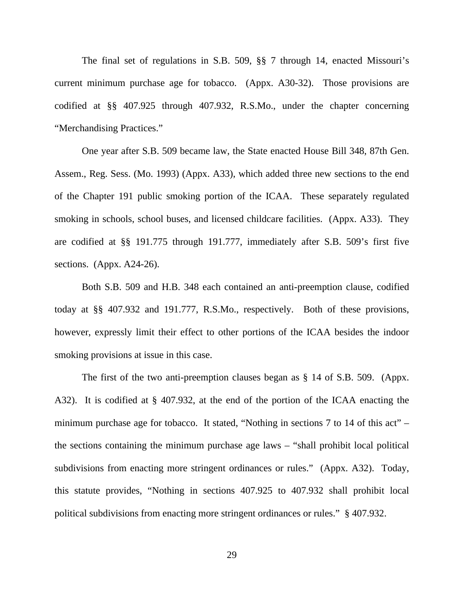The final set of regulations in S.B. 509, §§ 7 through 14, enacted Missouri's current minimum purchase age for tobacco. (Appx. A30-32). Those provisions are codified at §§ 407.925 through 407.932, R.S.Mo., under the chapter concerning "Merchandising Practices."

One year after S.B. 509 became law, the State enacted House Bill 348, 87th Gen. Assem., Reg. Sess. (Mo. 1993) (Appx. A33), which added three new sections to the end of the Chapter 191 public smoking portion of the ICAA. These separately regulated smoking in schools, school buses, and licensed childcare facilities. (Appx. A33). They are codified at §§ 191.775 through 191.777, immediately after S.B. 509's first five sections. (Appx. A24-26).

Both S.B. 509 and H.B. 348 each contained an anti-preemption clause, codified today at §§ 407.932 and 191.777, R.S.Mo., respectively. Both of these provisions, however, expressly limit their effect to other portions of the ICAA besides the indoor smoking provisions at issue in this case.

The first of the two anti-preemption clauses began as § 14 of S.B. 509. (Appx. A32). It is codified at § 407.932, at the end of the portion of the ICAA enacting the minimum purchase age for tobacco. It stated, "Nothing in sections 7 to 14 of this act" – the sections containing the minimum purchase age laws – "shall prohibit local political subdivisions from enacting more stringent ordinances or rules." (Appx. A32). Today, this statute provides, "Nothing in sections 407.925 to 407.932 shall prohibit local political subdivisions from enacting more stringent ordinances or rules." § 407.932.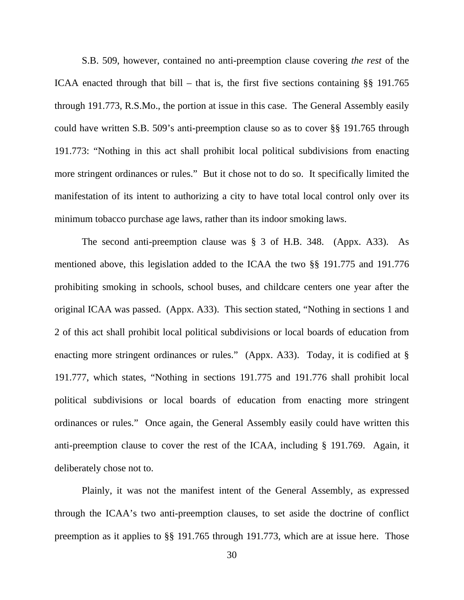S.B. 509, however, contained no anti-preemption clause covering *the rest* of the ICAA enacted through that bill – that is, the first five sections containing §§ 191.765 through 191.773, R.S.Mo., the portion at issue in this case. The General Assembly easily could have written S.B. 509's anti-preemption clause so as to cover §§ 191.765 through 191.773: "Nothing in this act shall prohibit local political subdivisions from enacting more stringent ordinances or rules." But it chose not to do so. It specifically limited the manifestation of its intent to authorizing a city to have total local control only over its minimum tobacco purchase age laws, rather than its indoor smoking laws.

The second anti-preemption clause was § 3 of H.B. 348. (Appx. A33). As mentioned above, this legislation added to the ICAA the two §§ 191.775 and 191.776 prohibiting smoking in schools, school buses, and childcare centers one year after the original ICAA was passed. (Appx. A33). This section stated, "Nothing in sections 1 and 2 of this act shall prohibit local political subdivisions or local boards of education from enacting more stringent ordinances or rules." (Appx. A33). Today, it is codified at § 191.777, which states, "Nothing in sections 191.775 and 191.776 shall prohibit local political subdivisions or local boards of education from enacting more stringent ordinances or rules." Once again, the General Assembly easily could have written this anti-preemption clause to cover the rest of the ICAA, including § 191.769. Again, it deliberately chose not to.

Plainly, it was not the manifest intent of the General Assembly, as expressed through the ICAA's two anti-preemption clauses, to set aside the doctrine of conflict preemption as it applies to §§ 191.765 through 191.773, which are at issue here. Those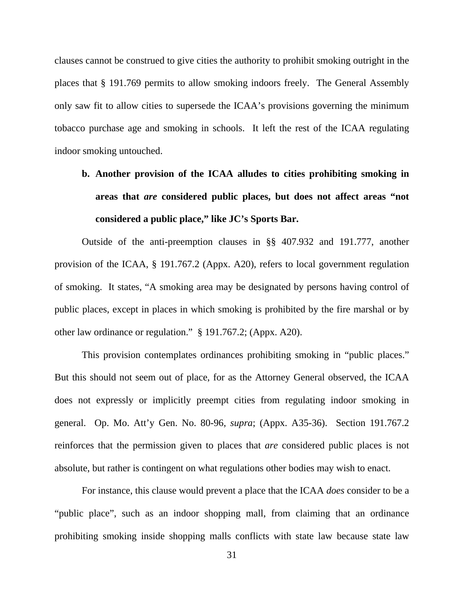clauses cannot be construed to give cities the authority to prohibit smoking outright in the places that § 191.769 permits to allow smoking indoors freely. The General Assembly only saw fit to allow cities to supersede the ICAA's provisions governing the minimum tobacco purchase age and smoking in schools. It left the rest of the ICAA regulating indoor smoking untouched.

# **b. Another provision of the ICAA alludes to cities prohibiting smoking in areas that** *are* **considered public places, but does not affect areas "not considered a public place," like JC's Sports Bar.**

Outside of the anti-preemption clauses in §§ 407.932 and 191.777, another provision of the ICAA, § 191.767.2 (Appx. A20), refers to local government regulation of smoking. It states, "A smoking area may be designated by persons having control of public places, except in places in which smoking is prohibited by the fire marshal or by other law ordinance or regulation." § 191.767.2; (Appx. A20).

This provision contemplates ordinances prohibiting smoking in "public places." But this should not seem out of place, for as the Attorney General observed, the ICAA does not expressly or implicitly preempt cities from regulating indoor smoking in general. Op. Mo. Att'y Gen. No. 80-96, *supra*; (Appx. A35-36). Section 191.767.2 reinforces that the permission given to places that *are* considered public places is not absolute, but rather is contingent on what regulations other bodies may wish to enact.

For instance, this clause would prevent a place that the ICAA *does* consider to be a "public place", such as an indoor shopping mall, from claiming that an ordinance prohibiting smoking inside shopping malls conflicts with state law because state law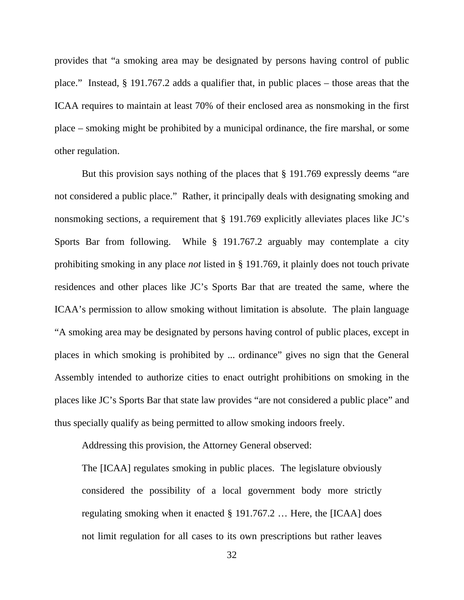provides that "a smoking area may be designated by persons having control of public place." Instead, § 191.767.2 adds a qualifier that, in public places – those areas that the ICAA requires to maintain at least 70% of their enclosed area as nonsmoking in the first place – smoking might be prohibited by a municipal ordinance, the fire marshal, or some other regulation.

But this provision says nothing of the places that § 191.769 expressly deems "are not considered a public place." Rather, it principally deals with designating smoking and nonsmoking sections, a requirement that § 191.769 explicitly alleviates places like JC's Sports Bar from following. While § 191.767.2 arguably may contemplate a city prohibiting smoking in any place *not* listed in § 191.769, it plainly does not touch private residences and other places like JC's Sports Bar that are treated the same, where the ICAA's permission to allow smoking without limitation is absolute. The plain language "A smoking area may be designated by persons having control of public places, except in places in which smoking is prohibited by ... ordinance" gives no sign that the General Assembly intended to authorize cities to enact outright prohibitions on smoking in the places like JC's Sports Bar that state law provides "are not considered a public place" and thus specially qualify as being permitted to allow smoking indoors freely.

Addressing this provision, the Attorney General observed:

The [ICAA] regulates smoking in public places. The legislature obviously considered the possibility of a local government body more strictly regulating smoking when it enacted § 191.767.2 … Here, the [ICAA] does not limit regulation for all cases to its own prescriptions but rather leaves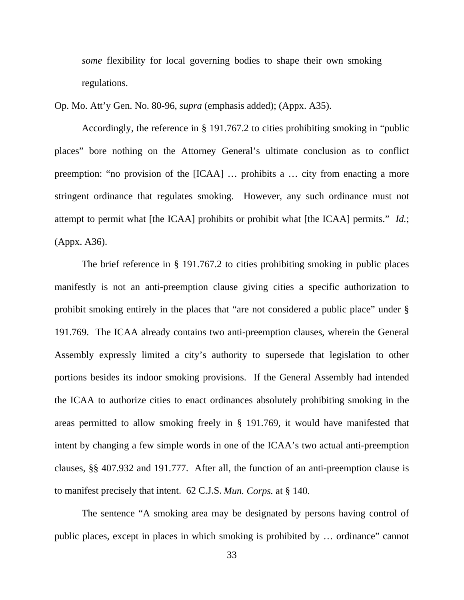*some* flexibility for local governing bodies to shape their own smoking regulations.

Op. Mo. Att'y Gen. No. 80-96, *supra* (emphasis added); (Appx. A35).

Accordingly, the reference in § 191.767.2 to cities prohibiting smoking in "public places" bore nothing on the Attorney General's ultimate conclusion as to conflict preemption: "no provision of the [ICAA] … prohibits a … city from enacting a more stringent ordinance that regulates smoking. However, any such ordinance must not attempt to permit what [the ICAA] prohibits or prohibit what [the ICAA] permits." *Id.*; (Appx. A36).

The brief reference in § 191.767.2 to cities prohibiting smoking in public places manifestly is not an anti-preemption clause giving cities a specific authorization to prohibit smoking entirely in the places that "are not considered a public place" under § 191.769. The ICAA already contains two anti-preemption clauses, wherein the General Assembly expressly limited a city's authority to supersede that legislation to other portions besides its indoor smoking provisions. If the General Assembly had intended the ICAA to authorize cities to enact ordinances absolutely prohibiting smoking in the areas permitted to allow smoking freely in § 191.769, it would have manifested that intent by changing a few simple words in one of the ICAA's two actual anti-preemption clauses, §§ 407.932 and 191.777. After all, the function of an anti-preemption clause is to manifest precisely that intent. 62 C.J.S. *Mun. Corps.* at § 140.

The sentence "A smoking area may be designated by persons having control of public places, except in places in which smoking is prohibited by … ordinance" cannot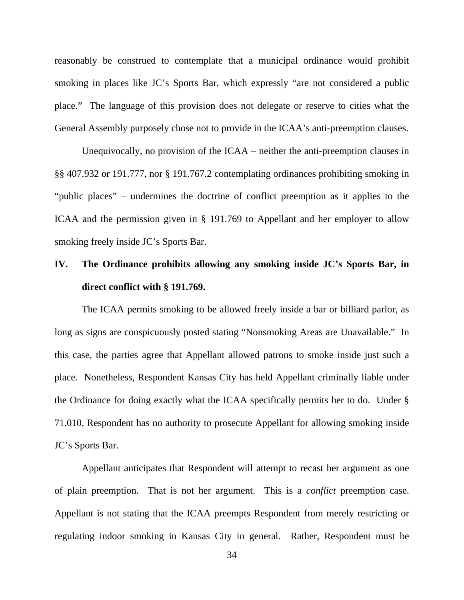reasonably be construed to contemplate that a municipal ordinance would prohibit smoking in places like JC's Sports Bar, which expressly "are not considered a public place." The language of this provision does not delegate or reserve to cities what the General Assembly purposely chose not to provide in the ICAA's anti-preemption clauses.

Unequivocally, no provision of the ICAA – neither the anti-preemption clauses in §§ 407.932 or 191.777, nor § 191.767.2 contemplating ordinances prohibiting smoking in "public places" – undermines the doctrine of conflict preemption as it applies to the ICAA and the permission given in § 191.769 to Appellant and her employer to allow smoking freely inside JC's Sports Bar.

# **IV. The Ordinance prohibits allowing any smoking inside JC's Sports Bar, in direct conflict with § 191.769.**

The ICAA permits smoking to be allowed freely inside a bar or billiard parlor, as long as signs are conspicuously posted stating "Nonsmoking Areas are Unavailable." In this case, the parties agree that Appellant allowed patrons to smoke inside just such a place. Nonetheless, Respondent Kansas City has held Appellant criminally liable under the Ordinance for doing exactly what the ICAA specifically permits her to do. Under § 71.010, Respondent has no authority to prosecute Appellant for allowing smoking inside JC's Sports Bar.

Appellant anticipates that Respondent will attempt to recast her argument as one of plain preemption. That is not her argument. This is a *conflict* preemption case. Appellant is not stating that the ICAA preempts Respondent from merely restricting or regulating indoor smoking in Kansas City in general. Rather, Respondent must be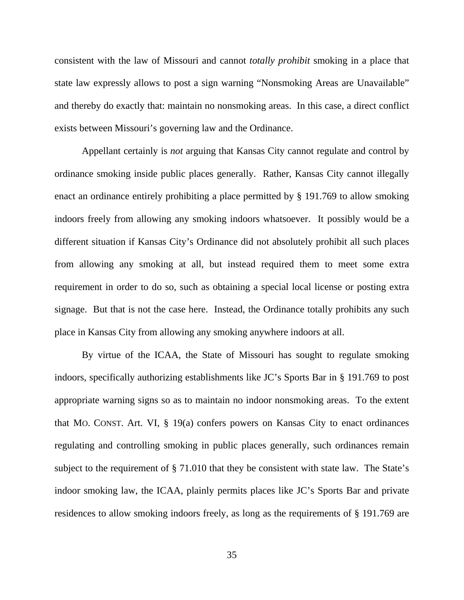consistent with the law of Missouri and cannot *totally prohibit* smoking in a place that state law expressly allows to post a sign warning "Nonsmoking Areas are Unavailable" and thereby do exactly that: maintain no nonsmoking areas. In this case, a direct conflict exists between Missouri's governing law and the Ordinance.

Appellant certainly is *not* arguing that Kansas City cannot regulate and control by ordinance smoking inside public places generally. Rather, Kansas City cannot illegally enact an ordinance entirely prohibiting a place permitted by § 191.769 to allow smoking indoors freely from allowing any smoking indoors whatsoever. It possibly would be a different situation if Kansas City's Ordinance did not absolutely prohibit all such places from allowing any smoking at all, but instead required them to meet some extra requirement in order to do so, such as obtaining a special local license or posting extra signage. But that is not the case here. Instead, the Ordinance totally prohibits any such place in Kansas City from allowing any smoking anywhere indoors at all.

By virtue of the ICAA, the State of Missouri has sought to regulate smoking indoors, specifically authorizing establishments like JC's Sports Bar in § 191.769 to post appropriate warning signs so as to maintain no indoor nonsmoking areas. To the extent that MO. CONST. Art. VI, § 19(a) confers powers on Kansas City to enact ordinances regulating and controlling smoking in public places generally, such ordinances remain subject to the requirement of § 71.010 that they be consistent with state law. The State's indoor smoking law, the ICAA, plainly permits places like JC's Sports Bar and private residences to allow smoking indoors freely, as long as the requirements of § 191.769 are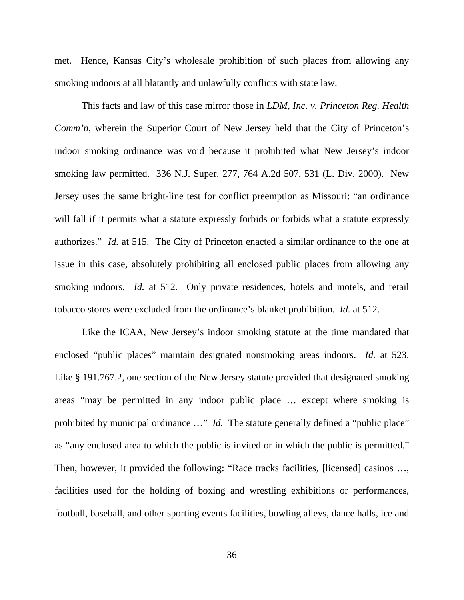met. Hence, Kansas City's wholesale prohibition of such places from allowing any smoking indoors at all blatantly and unlawfully conflicts with state law.

This facts and law of this case mirror those in *LDM, Inc. v. Princeton Reg. Health Comm'n*, wherein the Superior Court of New Jersey held that the City of Princeton's indoor smoking ordinance was void because it prohibited what New Jersey's indoor smoking law permitted. 336 N.J. Super. 277, 764 A.2d 507, 531 (L. Div. 2000). New Jersey uses the same bright-line test for conflict preemption as Missouri: "an ordinance will fall if it permits what a statute expressly forbids or forbids what a statute expressly authorizes." *Id.* at 515. The City of Princeton enacted a similar ordinance to the one at issue in this case, absolutely prohibiting all enclosed public places from allowing any smoking indoors. *Id.* at 512. Only private residences, hotels and motels, and retail tobacco stores were excluded from the ordinance's blanket prohibition. *Id.* at 512.

Like the ICAA, New Jersey's indoor smoking statute at the time mandated that enclosed "public places" maintain designated nonsmoking areas indoors. *Id.* at 523. Like § 191.767.2, one section of the New Jersey statute provided that designated smoking areas "may be permitted in any indoor public place … except where smoking is prohibited by municipal ordinance ..." *Id.* The statute generally defined a "public place" as "any enclosed area to which the public is invited or in which the public is permitted." Then, however, it provided the following: "Race tracks facilities, [licensed] casinos …, facilities used for the holding of boxing and wrestling exhibitions or performances, football, baseball, and other sporting events facilities, bowling alleys, dance halls, ice and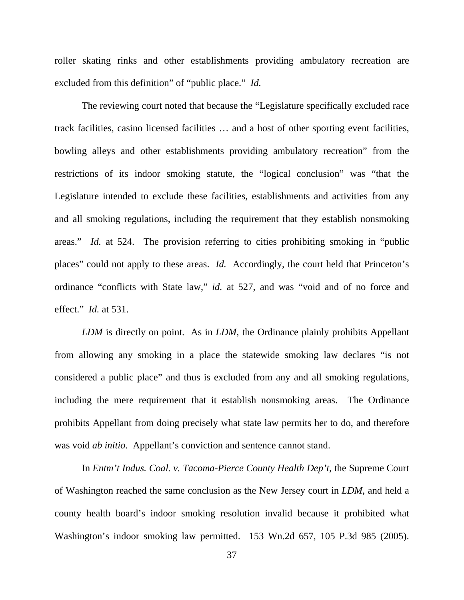roller skating rinks and other establishments providing ambulatory recreation are excluded from this definition" of "public place." *Id.*

The reviewing court noted that because the "Legislature specifically excluded race track facilities, casino licensed facilities … and a host of other sporting event facilities, bowling alleys and other establishments providing ambulatory recreation" from the restrictions of its indoor smoking statute, the "logical conclusion" was "that the Legislature intended to exclude these facilities, establishments and activities from any and all smoking regulations, including the requirement that they establish nonsmoking areas." *Id.* at 524. The provision referring to cities prohibiting smoking in "public places" could not apply to these areas. *Id.* Accordingly, the court held that Princeton's ordinance "conflicts with State law," *id.* at 527, and was "void and of no force and effect." *Id.* at 531.

*LDM* is directly on point. As in *LDM*, the Ordinance plainly prohibits Appellant from allowing any smoking in a place the statewide smoking law declares "is not considered a public place" and thus is excluded from any and all smoking regulations, including the mere requirement that it establish nonsmoking areas. The Ordinance prohibits Appellant from doing precisely what state law permits her to do, and therefore was void *ab initio*. Appellant's conviction and sentence cannot stand.

In *Entm't Indus. Coal. v. Tacoma-Pierce County Health Dep't*, the Supreme Court of Washington reached the same conclusion as the New Jersey court in *LDM*, and held a county health board's indoor smoking resolution invalid because it prohibited what Washington's indoor smoking law permitted. 153 Wn.2d 657, 105 P.3d 985 (2005).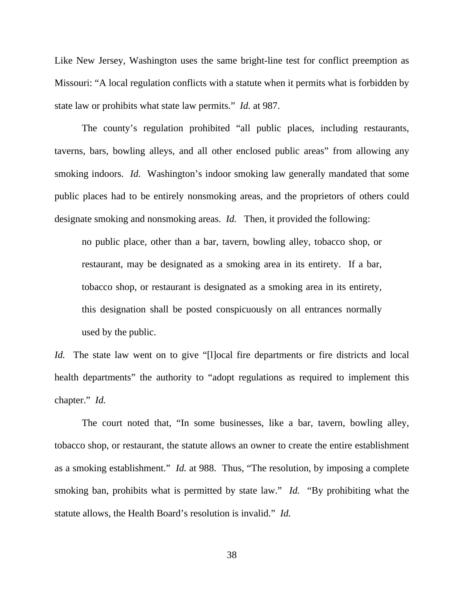Like New Jersey, Washington uses the same bright-line test for conflict preemption as Missouri: "A local regulation conflicts with a statute when it permits what is forbidden by state law or prohibits what state law permits." *Id.* at 987.

The county's regulation prohibited "all public places, including restaurants, taverns, bars, bowling alleys, and all other enclosed public areas" from allowing any smoking indoors. *Id.* Washington's indoor smoking law generally mandated that some public places had to be entirely nonsmoking areas, and the proprietors of others could designate smoking and nonsmoking areas. *Id.* Then, it provided the following:

no public place, other than a bar, tavern, bowling alley, tobacco shop, or restaurant, may be designated as a smoking area in its entirety. If a bar, tobacco shop, or restaurant is designated as a smoking area in its entirety, this designation shall be posted conspicuously on all entrances normally used by the public.

*Id.* The state law went on to give "[l]ocal fire departments or fire districts and local health departments" the authority to "adopt regulations as required to implement this chapter." *Id.*

The court noted that, "In some businesses, like a bar, tavern, bowling alley, tobacco shop, or restaurant, the statute allows an owner to create the entire establishment as a smoking establishment." *Id.* at 988. Thus, "The resolution, by imposing a complete smoking ban, prohibits what is permitted by state law." *Id.* "By prohibiting what the statute allows, the Health Board's resolution is invalid." *Id.*

38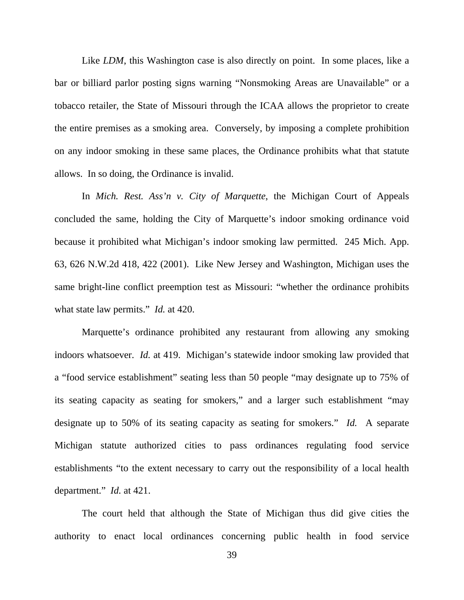Like *LDM*, this Washington case is also directly on point. In some places, like a bar or billiard parlor posting signs warning "Nonsmoking Areas are Unavailable" or a tobacco retailer, the State of Missouri through the ICAA allows the proprietor to create the entire premises as a smoking area. Conversely, by imposing a complete prohibition on any indoor smoking in these same places, the Ordinance prohibits what that statute allows. In so doing, the Ordinance is invalid.

In *Mich. Rest. Ass'n v. City of Marquette*, the Michigan Court of Appeals concluded the same, holding the City of Marquette's indoor smoking ordinance void because it prohibited what Michigan's indoor smoking law permitted. 245 Mich. App. 63, 626 N.W.2d 418, 422 (2001). Like New Jersey and Washington, Michigan uses the same bright-line conflict preemption test as Missouri: "whether the ordinance prohibits what state law permits." *Id.* at 420.

Marquette's ordinance prohibited any restaurant from allowing any smoking indoors whatsoever. *Id.* at 419. Michigan's statewide indoor smoking law provided that a "food service establishment" seating less than 50 people "may designate up to 75% of its seating capacity as seating for smokers," and a larger such establishment "may designate up to 50% of its seating capacity as seating for smokers." *Id.* A separate Michigan statute authorized cities to pass ordinances regulating food service establishments "to the extent necessary to carry out the responsibility of a local health department." *Id.* at 421.

The court held that although the State of Michigan thus did give cities the authority to enact local ordinances concerning public health in food service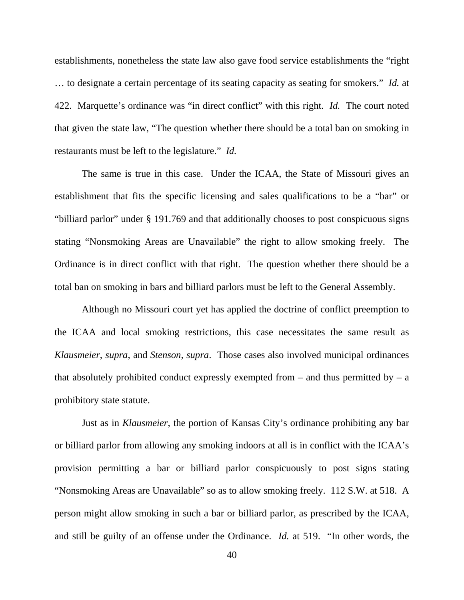establishments, nonetheless the state law also gave food service establishments the "right … to designate a certain percentage of its seating capacity as seating for smokers." *Id.* at 422. Marquette's ordinance was "in direct conflict" with this right. *Id.* The court noted that given the state law, "The question whether there should be a total ban on smoking in restaurants must be left to the legislature." *Id.*

The same is true in this case. Under the ICAA, the State of Missouri gives an establishment that fits the specific licensing and sales qualifications to be a "bar" or "billiard parlor" under § 191.769 and that additionally chooses to post conspicuous signs stating "Nonsmoking Areas are Unavailable" the right to allow smoking freely. The Ordinance is in direct conflict with that right. The question whether there should be a total ban on smoking in bars and billiard parlors must be left to the General Assembly.

Although no Missouri court yet has applied the doctrine of conflict preemption to the ICAA and local smoking restrictions, this case necessitates the same result as *Klausmeier*, *supra*, and *Stenson*, *supra*. Those cases also involved municipal ordinances that absolutely prohibited conduct expressly exempted from  $-$  and thus permitted by  $-$  a prohibitory state statute.

Just as in *Klausmeier*, the portion of Kansas City's ordinance prohibiting any bar or billiard parlor from allowing any smoking indoors at all is in conflict with the ICAA's provision permitting a bar or billiard parlor conspicuously to post signs stating "Nonsmoking Areas are Unavailable" so as to allow smoking freely. 112 S.W. at 518. A person might allow smoking in such a bar or billiard parlor, as prescribed by the ICAA, and still be guilty of an offense under the Ordinance. *Id.* at 519. "In other words, the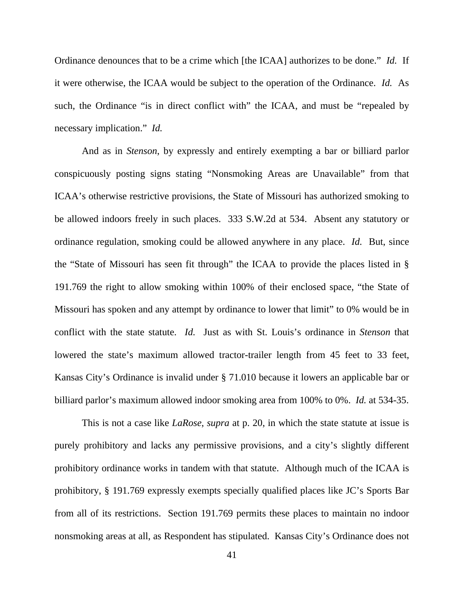Ordinance denounces that to be a crime which [the ICAA] authorizes to be done." *Id.* If it were otherwise, the ICAA would be subject to the operation of the Ordinance. *Id.* As such, the Ordinance "is in direct conflict with" the ICAA, and must be "repealed by necessary implication." *Id.*

And as in *Stenson*, by expressly and entirely exempting a bar or billiard parlor conspicuously posting signs stating "Nonsmoking Areas are Unavailable" from that ICAA's otherwise restrictive provisions, the State of Missouri has authorized smoking to be allowed indoors freely in such places. 333 S.W.2d at 534. Absent any statutory or ordinance regulation, smoking could be allowed anywhere in any place. *Id.* But, since the "State of Missouri has seen fit through" the ICAA to provide the places listed in § 191.769 the right to allow smoking within 100% of their enclosed space, "the State of Missouri has spoken and any attempt by ordinance to lower that limit" to 0% would be in conflict with the state statute. *Id.* Just as with St. Louis's ordinance in *Stenson* that lowered the state's maximum allowed tractor-trailer length from 45 feet to 33 feet, Kansas City's Ordinance is invalid under § 71.010 because it lowers an applicable bar or billiard parlor's maximum allowed indoor smoking area from 100% to 0%. *Id.* at 534-35.

This is not a case like *LaRose*, *supra* at p. 20, in which the state statute at issue is purely prohibitory and lacks any permissive provisions, and a city's slightly different prohibitory ordinance works in tandem with that statute. Although much of the ICAA is prohibitory, § 191.769 expressly exempts specially qualified places like JC's Sports Bar from all of its restrictions. Section 191.769 permits these places to maintain no indoor nonsmoking areas at all, as Respondent has stipulated. Kansas City's Ordinance does not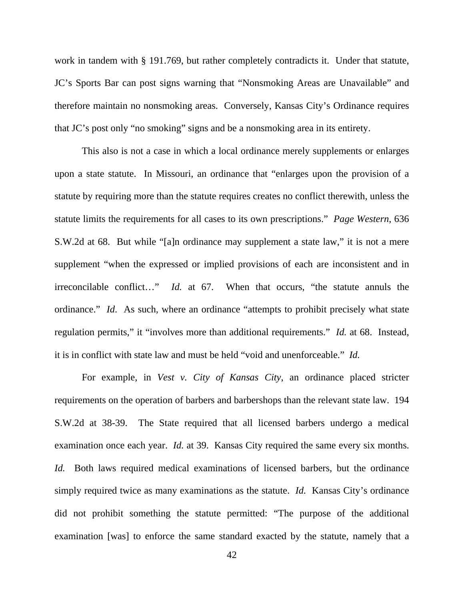work in tandem with § 191.769, but rather completely contradicts it. Under that statute, JC's Sports Bar can post signs warning that "Nonsmoking Areas are Unavailable" and therefore maintain no nonsmoking areas. Conversely, Kansas City's Ordinance requires that JC's post only "no smoking" signs and be a nonsmoking area in its entirety.

This also is not a case in which a local ordinance merely supplements or enlarges upon a state statute. In Missouri, an ordinance that "enlarges upon the provision of a statute by requiring more than the statute requires creates no conflict therewith, unless the statute limits the requirements for all cases to its own prescriptions." *Page Western*, 636 S.W.2d at 68. But while "[a]n ordinance may supplement a state law," it is not a mere supplement "when the expressed or implied provisions of each are inconsistent and in irreconcilable conflict…" *Id.* at 67. When that occurs, "the statute annuls the ordinance." *Id*. As such, where an ordinance "attempts to prohibit precisely what state regulation permits," it "involves more than additional requirements." *Id.* at 68. Instead, it is in conflict with state law and must be held "void and unenforceable." *Id.*

For example, in *Vest v. City of Kansas City*, an ordinance placed stricter requirements on the operation of barbers and barbershops than the relevant state law. 194 S.W.2d at 38-39. The State required that all licensed barbers undergo a medical examination once each year. *Id.* at 39. Kansas City required the same every six months. *Id.* Both laws required medical examinations of licensed barbers, but the ordinance simply required twice as many examinations as the statute. *Id.* Kansas City's ordinance did not prohibit something the statute permitted: "The purpose of the additional examination [was] to enforce the same standard exacted by the statute, namely that a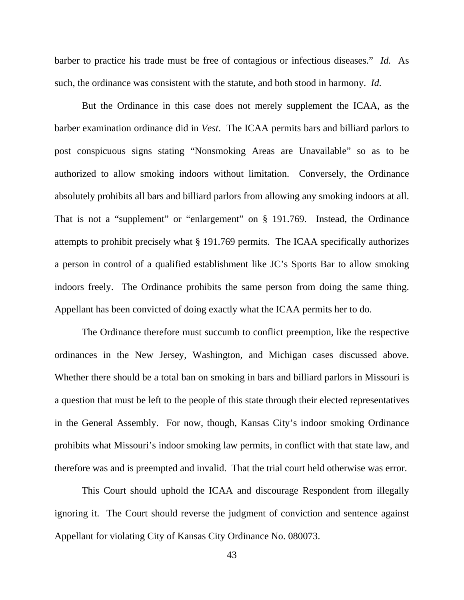barber to practice his trade must be free of contagious or infectious diseases." *Id.* As such, the ordinance was consistent with the statute, and both stood in harmony. *Id.*

But the Ordinance in this case does not merely supplement the ICAA, as the barber examination ordinance did in *Vest*. The ICAA permits bars and billiard parlors to post conspicuous signs stating "Nonsmoking Areas are Unavailable" so as to be authorized to allow smoking indoors without limitation. Conversely, the Ordinance absolutely prohibits all bars and billiard parlors from allowing any smoking indoors at all. That is not a "supplement" or "enlargement" on § 191.769. Instead, the Ordinance attempts to prohibit precisely what § 191.769 permits. The ICAA specifically authorizes a person in control of a qualified establishment like JC's Sports Bar to allow smoking indoors freely. The Ordinance prohibits the same person from doing the same thing. Appellant has been convicted of doing exactly what the ICAA permits her to do.

 The Ordinance therefore must succumb to conflict preemption, like the respective ordinances in the New Jersey, Washington, and Michigan cases discussed above. Whether there should be a total ban on smoking in bars and billiard parlors in Missouri is a question that must be left to the people of this state through their elected representatives in the General Assembly. For now, though, Kansas City's indoor smoking Ordinance prohibits what Missouri's indoor smoking law permits, in conflict with that state law, and therefore was and is preempted and invalid. That the trial court held otherwise was error.

 This Court should uphold the ICAA and discourage Respondent from illegally ignoring it. The Court should reverse the judgment of conviction and sentence against Appellant for violating City of Kansas City Ordinance No. 080073.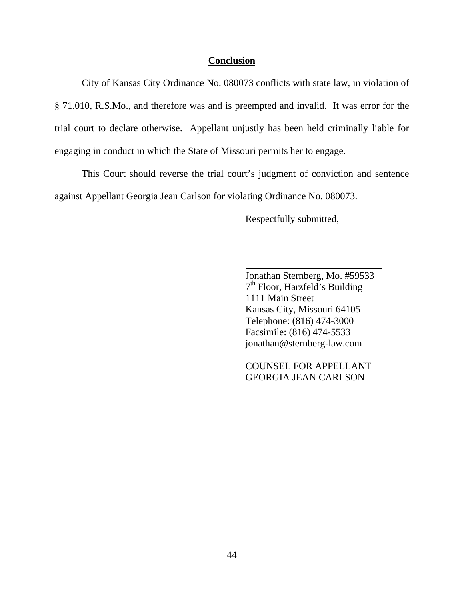#### **Conclusion**

 City of Kansas City Ordinance No. 080073 conflicts with state law, in violation of § 71.010, R.S.Mo., and therefore was and is preempted and invalid. It was error for the trial court to declare otherwise. Appellant unjustly has been held criminally liable for engaging in conduct in which the State of Missouri permits her to engage.

 This Court should reverse the trial court's judgment of conviction and sentence against Appellant Georgia Jean Carlson for violating Ordinance No. 080073.

Respectfully submitted,

Jonathan Sternberg, Mo. #59533 7<sup>th</sup> Floor, Harzfeld's Building 1111 Main Street Kansas City, Missouri 64105 Telephone: (816) 474-3000 Facsimile: (816) 474-5533 jonathan@sternberg-law.com

 COUNSEL FOR APPELLANT GEORGIA JEAN CARLSON